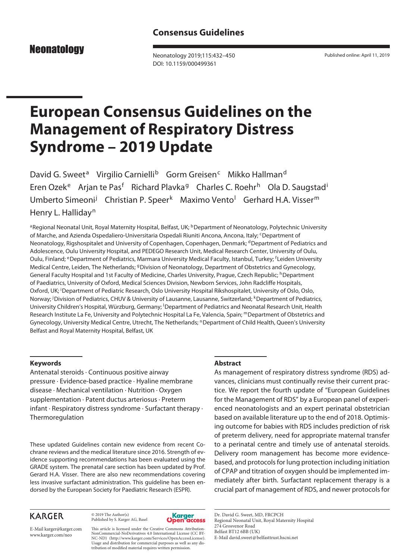## **Neonatology**

Neonatology 2019;115:432–450 DOI: 10.1159/000499361

Published online: April 11, 2019

# **European Consensus Guidelines on the Management of Respiratory Distress Syndrome – 2019 Update**

David G. Sweet<sup>a</sup> Virgilio Carnielli<sup>b</sup> Gorm Greisen<sup>c</sup> Mikko Hallman<sup>d</sup> Eren Ozek<sup>e</sup> Arjan te Pas<sup>f</sup> Richard Plavka<sup>g</sup> Charles C. Roehr<sup>h</sup> Ola D. Saugstad<sup>i</sup> Umberto Simeoni<sup>j</sup> Christian P. Speer<sup>k</sup> Maximo Vento<sup>l</sup> Gerhard H.A. Visser<sup>m</sup> Henry L. Halliday<sup>n</sup>

aRegional Neonatal Unit, Royal Maternity Hospital, Belfast, UK; <sup>b</sup>Department of Neonatology, Polytechnic University of Marche, and Azienda Ospedaliero-Universitaria Ospedali Riuniti Ancona, Ancona, Italy; <sup>c</sup>Department of Neonatology, Rigshospitalet and University of Copenhagen, Copenhagen, Denmark; dDepartment of Pediatrics and Adolescence, Oulu University Hospital, and PEDEGO Research Unit, Medical Research Center, University of Oulu, Oulu, Finland; <sup>e</sup>Department of Pediatrics, Marmara University Medical Faculty, Istanbul, Turkey; <sup>f</sup>Leiden University Medical Centre, Leiden, The Netherlands; <sup>g</sup>Division of Neonatology, Department of Obstetrics and Gynecology, General Faculty Hospital and 1st Faculty of Medicine, Charles University, Prague, Czech Republic; <sup>h</sup>Department of Paediatrics, University of Oxford, Medical Sciences Division, Newborn Services, John Radcliffe Hospitals, Oxford, UK; <sup>i</sup>Department of Pediatric Research, Oslo University Hospital Rikshospitalet, University of Oslo, Oslo, Norway; <sup>j</sup>Division of Pediatrics, CHUV & University of Lausanne, Lausanne, Switzerland; <sup>k</sup>Department of Pediatrics, University Children's Hospital, Würzburg, Germany; <sup>I</sup>Department of Pediatrics and Neonatal Research Unit, Health Research Institute La Fe, University and Polytechnic Hospital La Fe, Valencia, Spain; mDepartment of Obstetrics and Gynecology, University Medical Centre, Utrecht, The Netherlands; <sup>n</sup>Department of Child Health, Queen's University Belfast and Royal Maternity Hospital, Belfast, UK

## **Keywords**

Antenatal steroids · Continuous positive airway pressure · Evidence-based practice · Hyaline membrane disease · Mechanical ventilation · Nutrition · Oxygen supplementation · Patent ductus arteriosus · Preterm infant · Respiratory distress syndrome · Surfactant therapy · Thermoregulation

These updated Guidelines contain new evidence from recent Cochrane reviews and the medical literature since 2016. Strength of evidence supporting recommendations has been evaluated using the GRADE system. The prenatal care section has been updated by Prof. Gerard H.A. Visser. There are also new recommendations covering less invasive surfactant administration. This guideline has been endorsed by the European Society for Paediatric Research (ESPR).

> © 2019 The Author(s) Published by S. Karger AG, Basel

## **Abstract**

As management of respiratory distress syndrome (RDS) advances, clinicians must continually revise their current practice. We report the fourth update of "European Guidelines for the Management of RDS" by a European panel of experienced neonatologists and an expert perinatal obstetrician based on available literature up to the end of 2018. Optimising outcome for babies with RDS includes prediction of risk of preterm delivery, need for appropriate maternal transfer to a perinatal centre and timely use of antenatal steroids. Delivery room management has become more evidencebased, and protocols for lung protection including initiation of CPAP and titration of oxygen should be implemented immediately after birth. Surfactant replacement therapy is a crucial part of management of RDS, and newer protocols for

Dr. David G. Sweet, MD, FRCPCH Regional Neonatal Unit, Royal Maternity Hospital 274 Grosvenor Road Belfast BT12 6BB (UK) E-Mail david.sweet@belfasttrust.hscni.net

E-Mail karger@karger.com www.karger.com/neo

**KARGER** 

This article is licensed under the Creative Commons Attribution-NonCommercial-NoDerivatives 4.0 International License (CC BY-NC-ND) (http://www.karger.com/Services/OpenAccessLicense). Usage and distribution for commercial purposes as well as any distribution of modified material requires written permission.

Karger<br>)pen access

Open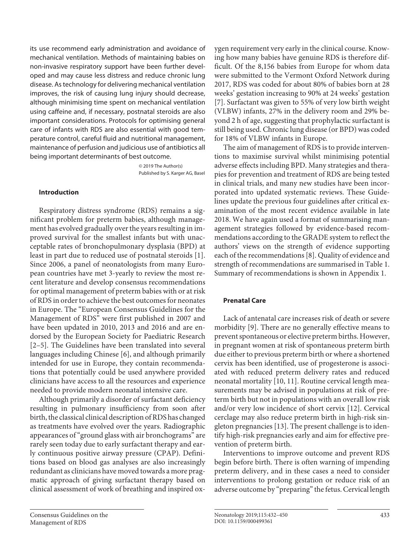its use recommend early administration and avoidance of mechanical ventilation. Methods of maintaining babies on non-invasive respiratory support have been further developed and may cause less distress and reduce chronic lung disease. As technology for delivering mechanical ventilation improves, the risk of causing lung injury should decrease, although minimising time spent on mechanical ventilation using caffeine and, if necessary, postnatal steroids are also important considerations. Protocols for optimising general care of infants with RDS are also essential with good temperature control, careful fluid and nutritional management, maintenance of perfusion and judicious use of antibiotics all being important determinants of best outcome.

> © 2019 The Author(s) Published by S. Karger AG, Basel

### **Introduction**

Respiratory distress syndrome (RDS) remains a significant problem for preterm babies, although management has evolved gradually over the years resulting in improved survival for the smallest infants but with unacceptable rates of bronchopulmonary dysplasia (BPD) at least in part due to reduced use of postnatal steroids [1]. Since 2006, a panel of neonatologists from many European countries have met 3-yearly to review the most recent literature and develop consensus recommendations for optimal management of preterm babies with or at risk of RDS in order to achieve the best outcomes for neonates in Europe. The "European Consensus Guidelines for the Management of RDS" were first published in 2007 and have been updated in 2010, 2013 and 2016 and are endorsed by the European Society for Paediatric Research [2–5]. The Guidelines have been translated into several languages including Chinese [6], and although primarily intended for use in Europe, they contain recommendations that potentially could be used anywhere provided clinicians have access to all the resources and experience needed to provide modern neonatal intensive care.

Although primarily a disorder of surfactant deficiency resulting in pulmonary insufficiency from soon after birth, the classical clinical description of RDS has changed as treatments have evolved over the years. Radiographic appearances of "ground glass with air bronchograms" are rarely seen today due to early surfactant therapy and early continuous positive airway pressure (CPAP). Definitions based on blood gas analyses are also increasingly redundant as clinicians have moved towards a more pragmatic approach of giving surfactant therapy based on clinical assessment of work of breathing and inspired oxygen requirement very early in the clinical course. Knowing how many babies have genuine RDS is therefore difficult. Of the 8,156 babies from Europe for whom data were submitted to the Vermont Oxford Network during 2017, RDS was coded for about 80% of babies born at 28 weeks' gestation increasing to 90% at 24 weeks' gestation [7]. Surfactant was given to 55% of very low birth weight (VLBW) infants, 27% in the delivery room and 29% beyond 2 h of age, suggesting that prophylactic surfactant is still being used. Chronic lung disease (or BPD) was coded for 18% of VLBW infants in Europe.

The aim of management of RDS is to provide interventions to maximise survival whilst minimising potential adverse effects including BPD. Many strategies and therapies for prevention and treatment of RDS are being tested in clinical trials, and many new studies have been incorporated into updated systematic reviews. These Guidelines update the previous four guidelines after critical examination of the most recent evidence available in late 2018. We have again used a format of summarising management strategies followed by evidence-based recommendations according to the GRADE system to reflect the authors' views on the strength of evidence supporting each of the recommendations [8]. Quality of evidence and strength of recommendations are summarised in Table 1. Summary of recommendations is shown in Appendix 1.

## **Prenatal Care**

Lack of antenatal care increases risk of death or severe morbidity [9]. There are no generally effective means to prevent spontaneous or elective preterm births. However, in pregnant women at risk of spontaneous preterm birth due either to previous preterm birth or where a shortened cervix has been identified, use of progesterone is associated with reduced preterm delivery rates and reduced neonatal mortality [10, 11]. Routine cervical length measurements may be advised in populations at risk of preterm birth but not in populations with an overall low risk and/or very low incidence of short cervix [12]. Cervical cerclage may also reduce preterm birth in high-risk singleton pregnancies [13]. The present challenge is to identify high-risk pregnancies early and aim for effective prevention of preterm birth.

Interventions to improve outcome and prevent RDS begin before birth. There is often warning of impending preterm delivery, and in these cases a need to consider interventions to prolong gestation or reduce risk of an adverse outcome by "preparing" the fetus. Cervical length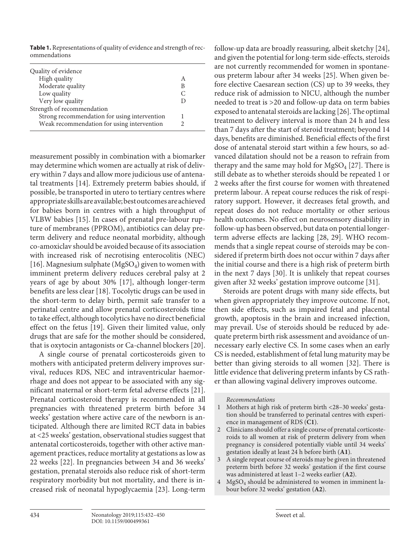**Table 1.** Representations of quality of evidence and strength of recommendations

| Quality of evidence                          |   |
|----------------------------------------------|---|
| High quality                                 | А |
| Moderate quality                             | В |
| Low quality                                  |   |
| Very low quality                             |   |
| Strength of recommendation                   |   |
| Strong recommendation for using intervention |   |
| Weak recommendation for using intervention   |   |

measurement possibly in combination with a biomarker may determine which women are actually at risk of delivery within 7 days and allow more judicious use of antenatal treatments [14]. Extremely preterm babies should, if possible, be transported in utero to tertiary centres where appropriate skills are available; best outcomes are achieved for babies born in centres with a high throughput of VLBW babies [15]. In cases of prenatal pre-labour rupture of membranes (PPROM), antibiotics can delay preterm delivery and reduce neonatal morbidity, although co-amoxiclav should be avoided because of its association with increased risk of necrotising enterocolitis (NEC) [16]. Magnesium sulphate (MgSO<sub>4</sub>) given to women with imminent preterm delivery reduces cerebral palsy at 2 years of age by about 30% [17], although longer-term benefits are less clear [18]. Tocolytic drugs can be used in the short-term to delay birth, permit safe transfer to a perinatal centre and allow prenatal corticosteroids time to take effect, although tocolytics have no direct beneficial effect on the fetus [19]. Given their limited value, only drugs that are safe for the mother should be considered, that is oxytocin antagonists or Ca-channel blockers [20].

A single course of prenatal corticosteroids given to mothers with anticipated preterm delivery improves survival, reduces RDS, NEC and intraventricular haemorrhage and does not appear to be associated with any significant maternal or short-term fetal adverse effects [21]. Prenatal corticosteroid therapy is recommended in all pregnancies with threatened preterm birth before 34 weeks' gestation where active care of the newborn is anticipated. Although there are limited RCT data in babies at <25 weeks' gestation, observational studies suggest that antenatal corticosteroids, together with other active management practices, reduce mortality at gestations as low as 22 weeks [22]. In pregnancies between 34 and 36 weeks' gestation, prenatal steroids also reduce risk of short-term respiratory morbidity but not mortality, and there is increased risk of neonatal hypoglycaemia [23]. Long-term

follow-up data are broadly reassuring, albeit sketchy [24], and given the potential for long-term side-effects, steroids are not currently recommended for women in spontaneous preterm labour after 34 weeks [25]. When given before elective Caesarean section (CS) up to 39 weeks, they reduce risk of admission to NICU, although the number needed to treat is >20 and follow-up data on term babies exposed to antenatal steroids are lacking [26]. The optimal treatment to delivery interval is more than 24 h and less than 7 days after the start of steroid treatment; beyond 14 days, benefits are diminished. Beneficial effects of the first dose of antenatal steroid start within a few hours, so advanced dilatation should not be a reason to refrain from therapy and the same may hold for  $MgSO<sub>4</sub>$  [27]. There is still debate as to whether steroids should be repeated 1 or 2 weeks after the first course for women with threatened preterm labour. A repeat course reduces the risk of respiratory support. However, it decreases fetal growth, and repeat doses do not reduce mortality or other serious health outcomes. No effect on neurosensory disability in follow-up has been observed, but data on potential longerterm adverse effects are lacking [28, 29]. WHO recommends that a single repeat course of steroids may be considered if preterm birth does not occur within 7 days after the initial course and there is a high risk of preterm birth in the next 7 days [30]. It is unlikely that repeat courses given after 32 weeks' gestation improve outcome [31].

Steroids are potent drugs with many side effects, but when given appropriately they improve outcome. If not, then side effects, such as impaired fetal and placental growth, apoptosis in the brain and increased infection, may prevail. Use of steroids should be reduced by adequate preterm birth risk assessment and avoidance of unnecessary early elective CS. In some cases when an early CS is needed, establishment of fetal lung maturity may be better than giving steroids to all women [32]. There is little evidence that delivering preterm infants by CS rather than allowing vaginal delivery improves outcome.

### *Recommendations*

- 1 Mothers at high risk of preterm birth <28–30 weeks' gestation should be transferred to perinatal centres with experience in management of RDS (**C1**).
- 2 Clinicians should offer a single course of prenatal corticosteroids to all women at risk of preterm delivery from when pregnancy is considered potentially viable until 34 weeks' gestation ideally at least 24 h before birth (**A1**).
- 3 A single repeat course of steroids may be given in threatened preterm birth before 32 weeks' gestation if the first course was administered at least 1–2 weeks earlier (**A2**).
- 4 MgSO4 should be administered to women in imminent labour before 32 weeks' gestation (**A2**).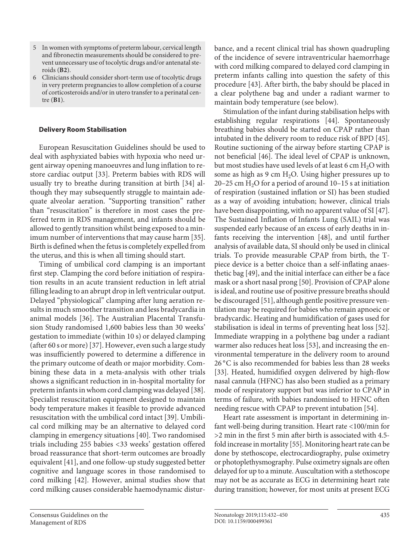- 5 In women with symptoms of preterm labour, cervical length and fibronectin measurements should be considered to prevent unnecessary use of tocolytic drugs and/or antenatal steroids (**B2**).
- 6 Clinicians should consider short-term use of tocolytic drugs in very preterm pregnancies to allow completion of a course of corticosteroids and/or in utero transfer to a perinatal centre (**B1**).

## **Delivery Room Stabilisation**

European Resuscitation Guidelines should be used to deal with asphyxiated babies with hypoxia who need urgent airway opening manoeuvres and lung inflation to restore cardiac output [33]. Preterm babies with RDS will usually try to breathe during transition at birth [34] although they may subsequently struggle to maintain adequate alveolar aeration. "Supporting transition" rather than "resuscitation" is therefore in most cases the preferred term in RDS management, and infants should be allowed to gently transition whilst being exposed to a minimum number of interventions that may cause harm [35]. Birth is defined when the fetus is completely expelled from the uterus, and this is when all timing should start.

Timing of umbilical cord clamping is an important first step. Clamping the cord before initiation of respiration results in an acute transient reduction in left atrial filling leading to an abrupt drop in left ventricular output. Delayed "physiological" clamping after lung aeration results in much smoother transition and less bradycardia in animal models [36]. The Australian Placental Transfusion Study randomised 1,600 babies less than 30 weeks' gestation to immediate (within 10 s) or delayed clamping (after 60 s or more) [37]. However, even such a large study was insufficiently powered to determine a difference in the primary outcome of death or major morbidity. Combining these data in a meta-analysis with other trials shows a significant reduction in in-hospital mortality for preterm infants in whom cord clamping was delayed [38]. Specialist resuscitation equipment designed to maintain body temperature makes it feasible to provide advanced resuscitation with the umbilical cord intact [39]. Umbilical cord milking may be an alternative to delayed cord clamping in emergency situations [40]. Two randomised trials including 255 babies <33 weeks' gestation offered broad reassurance that short-term outcomes are broadly equivalent [41], and one follow-up study suggested better cognitive and language scores in those randomised to cord milking [42]. However, animal studies show that cord milking causes considerable haemodynamic disturbance, and a recent clinical trial has shown quadrupling of the incidence of severe intraventricular haemorrhage with cord milking compared to delayed cord clamping in preterm infants calling into question the safety of this procedure [43]. After birth, the baby should be placed in a clear polythene bag and under a radiant warmer to maintain body temperature (see below).

Stimulation of the infant during stabilisation helps with establishing regular respirations [44]. Spontaneously breathing babies should be started on CPAP rather than intubated in the delivery room to reduce risk of BPD [45]. Routine suctioning of the airway before starting CPAP is not beneficial [46]. The ideal level of CPAP is unknown, but most studies have used levels of at least 6 cm H<sub>2</sub>O with some as high as 9 cm  $H_2O$ . Using higher pressures up to 20–25 cm  $H<sub>2</sub>O$  for a period of around 10–15 s at initiation of respiration (sustained inflation or SI) has been studied as a way of avoiding intubation; however, clinical trials have been disappointing, with no apparent value of SI [47]. The Sustained Inflation of Infants Lung (SAIL) trial was suspended early because of an excess of early deaths in infants receiving the intervention [48], and until further analysis of available data, SI should only be used in clinical trials. To provide measurable CPAP from birth, the Tpiece device is a better choice than a self-inflating anaesthetic bag [49], and the initial interface can either be a face mask or a short nasal prong [50]. Provision of CPAP alone is ideal, and routine use of positive pressure breaths should be discouraged [51], although gentle positive pressure ventilation may be required for babies who remain apnoeic or bradycardic. Heating and humidification of gases used for stabilisation is ideal in terms of preventing heat loss [52]. Immediate wrapping in a polythene bag under a radiant warmer also reduces heat loss [53], and increasing the environmental temperature in the delivery room to around 26 °C is also recommended for babies less than 28 weeks [33]. Heated, humidified oxygen delivered by high-flow nasal cannula (HFNC) has also been studied as a primary mode of respiratory support but was inferior to CPAP in terms of failure, with babies randomised to HFNC often needing rescue with CPAP to prevent intubation [54].

Heart rate assessment is important in determining infant well-being during transition. Heart rate <100/min for >2 min in the first 5 min after birth is associated with 4.5 fold increase in mortality [55]. Monitoring heart rate can be done by stethoscope, electrocardiography, pulse oximetry or photoplethysmography. Pulse oximetry signals are often delayed for up to a minute. Auscultation with a stethoscope may not be as accurate as ECG in determining heart rate during transition; however, for most units at present ECG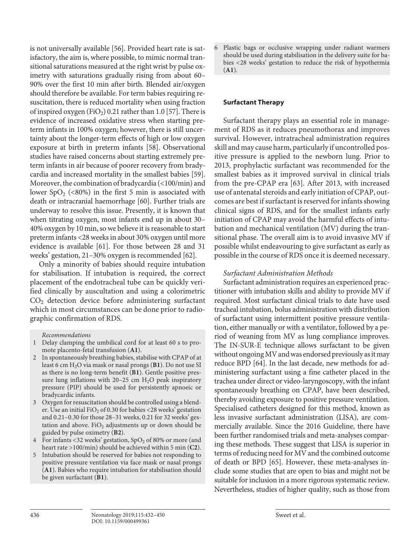is not universally available [56]. Provided heart rate is satisfactory, the aim is, where possible, to mimic normal transitional saturations measured at the right wrist by pulse oximetry with saturations gradually rising from about 60– 90% over the first 10 min after birth. Blended air/oxygen should therefore be available. For term babies requiring resuscitation, there is reduced mortality when using fraction of inspired oxygen (FiO<sub>2</sub>) 0.21 rather than 1.0 [57]. There is evidence of increased oxidative stress when starting preterm infants in 100% oxygen; however, there is still uncertainty about the longer-term effects of high or low oxygen exposure at birth in preterm infants [58]. Observational studies have raised concerns about starting extremely preterm infants in air because of poorer recovery from bradycardia and increased mortality in the smallest babies [59]. Moreover, the combination of bradycardia (<100/min) and lower  $SpO<sub>2</sub>$  (<80%) in the first 5 min is associated with death or intracranial haemorrhage [60]. Further trials are underway to resolve this issue. Presently, it is known that when titrating oxygen, most infants end up in about 30– 40% oxygen by 10 min, so we believe it is reasonable to start preterm infants <28 weeks in about 30% oxygen until more evidence is available [61]. For those between 28 and 31 weeks' gestation, 21–30% oxygen is recommended [62].

Only a minority of babies should require intubation for stabilisation. If intubation is required, the correct placement of the endotracheal tube can be quickly verified clinically by auscultation and using a colorimetric  $CO<sub>2</sub>$  detection device before administering surfactant which in most circumstances can be done prior to radiographic confirmation of RDS.

- 2 In spontaneously breathing babies, stabilise with CPAP of at least 6 cm H2O via mask or nasal prongs (**B1**). Do not use SI as there is no long-term benefit (**B1**). Gentle positive pressure lung inflations with  $20-25$  cm  $H<sub>2</sub>O$  peak inspiratory pressure (PIP) should be used for persistently apnoeic or bradycardic infants.
- 3 Oxygen for resuscitation should be controlled using a blender. Use an initial  $FiO<sub>2</sub>$  of 0.30 for babies <28 weeks' gestation and 0.21–0.30 for those 28–31 weeks, 0.21 for 32 weeks' gestation and above. FiO<sub>2</sub> adjustments up or down should be guided by pulse oximetry (**B2**).
- 4 For infants <32 weeks' gestation,  $SpO<sub>2</sub>$  of 80% or more (and heart rate >100/min) should be achieved within 5 min (**C2**).
- 5 Intubation should be reserved for babies not responding to positive pressure ventilation via face mask or nasal prongs (**A1**). Babies who require intubation for stabilisation should be given surfactant (**B1**).

6 Plastic bags or occlusive wrapping under radiant warmers should be used during stabilisation in the delivery suite for babies <28 weeks' gestation to reduce the risk of hypothermia (**A1**).

## **Surfactant Therapy**

Surfactant therapy plays an essential role in management of RDS as it reduces pneumothorax and improves survival. However, intratracheal administration requires skill and may cause harm, particularly if uncontrolled positive pressure is applied to the newborn lung. Prior to 2013, prophylactic surfactant was recommended for the smallest babies as it improved survival in clinical trials from the pre-CPAP era [63]. After 2013, with increased use of antenatal steroids and early initiation of CPAP, outcomes are best if surfactant is reserved for infants showing clinical signs of RDS, and for the smallest infants early initiation of CPAP may avoid the harmful effects of intubation and mechanical ventilation (MV) during the transitional phase. The overall aim is to avoid invasive MV if possible whilst endeavouring to give surfactant as early as possible in the course of RDS once it is deemed necessary.

## *Surfactant Administration Methods*

Surfactant administration requires an experienced practitioner with intubation skills and ability to provide MV if required. Most surfactant clinical trials to date have used tracheal intubation, bolus administration with distribution of surfactant using intermittent positive pressure ventilation, either manually or with a ventilator, followed by a period of weaning from MV as lung compliance improves. The IN-SUR-E technique allows surfactant to be given without ongoing MV and was endorsed previously as it may reduce BPD [64]. In the last decade, new methods for administering surfactant using a fine catheter placed in the trachea under direct or video-laryngoscopy, with the infant spontaneously breathing on CPAP, have been described, thereby avoiding exposure to positive pressure ventilation. Specialised catheters designed for this method, known as less invasive surfactant administration (LISA), are commercially available. Since the 2016 Guideline, there have been further randomised trials and meta-analyses comparing these methods. These suggest that LISA is superior in terms of reducing need for MV and the combined outcome of death or BPD [65]. However, these meta-analyses include some studies that are open to bias and might not be suitable for inclusion in a more rigorous systematic review. Nevertheless, studies of higher quality, such as those from

*Recommendations*

<sup>1</sup> Delay clamping the umbilical cord for at least 60 s to promote placento-fetal transfusion (**A1**).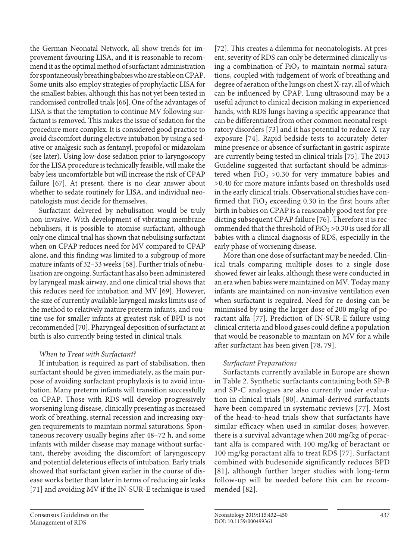the German Neonatal Network, all show trends for improvement favouring LISA, and it is reasonable to recommend it as the optimal method of surfactant administration for spontaneously breathing babies who are stable on CPAP. Some units also employ strategies of prophylactic LISA for the smallest babies, although this has not yet been tested in randomised controlled trials [66]. One of the advantages of LISA is that the temptation to continue MV following surfactant is removed. This makes the issue of sedation for the procedure more complex. It is considered good practice to avoid discomfort during elective intubation by using a sedative or analgesic such as fentanyl, propofol or midazolam (see later). Using low-dose sedation prior to laryngoscopy for the LISA procedure is technically feasible, will make the baby less uncomfortable but will increase the risk of CPAP failure [67]. At present, there is no clear answer about whether to sedate routinely for LISA, and individual neonatologists must decide for themselves.

Surfactant delivered by nebulisation would be truly non-invasive. With development of vibrating membrane nebulisers, it is possible to atomise surfactant, although only one clinical trial has shown that nebulising surfactant when on CPAP reduces need for MV compared to CPAP alone, and this finding was limited to a subgroup of more mature infants of 32–33 weeks [68]. Further trials of nebulisation are ongoing. Surfactant has also been administered by laryngeal mask airway, and one clinical trial shows that this reduces need for intubation and MV [69]. However, the size of currently available laryngeal masks limits use of the method to relatively mature preterm infants, and routine use for smaller infants at greatest risk of BPD is not recommended [70]. Pharyngeal deposition of surfactant at birth is also currently being tested in clinical trials.

## *When to Treat with Surfactant?*

If intubation is required as part of stabilisation, then surfactant should be given immediately, as the main purpose of avoiding surfactant prophylaxis is to avoid intubation. Many preterm infants will transition successfully on CPAP. Those with RDS will develop progressively worsening lung disease, clinically presenting as increased work of breathing, sternal recession and increasing oxygen requirements to maintain normal saturations. Spontaneous recovery usually begins after 48–72 h, and some infants with milder disease may manage without surfactant, thereby avoiding the discomfort of laryngoscopy and potential deleterious effects of intubation. Early trials showed that surfactant given earlier in the course of disease works better than later in terms of reducing air leaks [71] and avoiding MV if the IN-SUR-E technique is used

[72]. This creates a dilemma for neonatologists. At present, severity of RDS can only be determined clinically using a combination of  $FiO<sub>2</sub>$  to maintain normal saturations, coupled with judgement of work of breathing and degree of aeration of the lungs on chest X-ray, all of which can be influenced by CPAP. Lung ultrasound may be a useful adjunct to clinical decision making in experienced hands, with RDS lungs having a specific appearance that can be differentiated from other common neonatal respiratory disorders [73] and it has potential to reduce X-ray exposure [74]. Rapid bedside tests to accurately determine presence or absence of surfactant in gastric aspirate are currently being tested in clinical trials [75]. The 2013 Guideline suggested that surfactant should be administered when  $FiO_2 > 0.30$  for very immature babies and >0.40 for more mature infants based on thresholds used in the early clinical trials. Observational studies have confirmed that  $FiO<sub>2</sub>$  exceeding 0.30 in the first hours after birth in babies on CPAP is a reasonably good test for predicting subsequent CPAP failure [76]. Therefore it is recommended that the threshold of  $FiO_2 > 0.30$  is used for all babies with a clinical diagnosis of RDS, especially in the early phase of worsening disease.

More than one dose of surfactant may be needed. Clinical trials comparing multiple doses to a single dose showed fewer air leaks, although these were conducted in an era when babies were maintained on MV. Today many infants are maintained on non-invasive ventilation even when surfactant is required. Need for re-dosing can be minimised by using the larger dose of 200 mg/kg of poractant alfa [77]. Prediction of IN-SUR-E failure using clinical criteria and blood gases could define a population that would be reasonable to maintain on MV for a while after surfactant has been given [78, 79].

## *Surfactant Preparations*

Surfactants currently available in Europe are shown in Table 2. Synthetic surfactants containing both SP-B and SP-C analogues are also currently under evaluation in clinical trials [80]. Animal-derived surfactants have been compared in systematic reviews [77]. Most of the head-to-head trials show that surfactants have similar efficacy when used in similar doses; however, there is a survival advantage when 200 mg/kg of poractant alfa is compared with 100 mg/kg of beractant or 100 mg/kg poractant alfa to treat RDS [77]. Surfactant combined with budesonide significantly reduces BPD [81], although further larger studies with long-term follow-up will be needed before this can be recommended [82].

Consensus Guidelines on the Management of RDS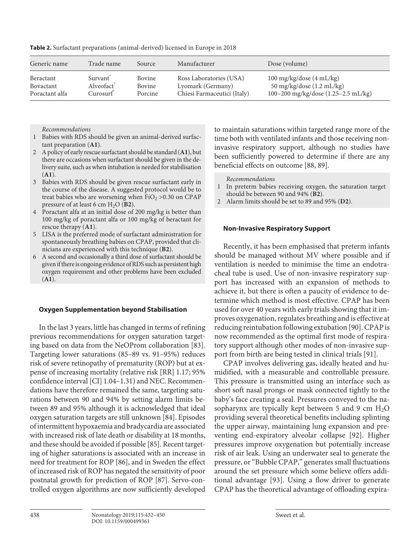| Generic name   | Trade name | Source  | Manufacturer                | Dose (volume)                       |
|----------------|------------|---------|-----------------------------|-------------------------------------|
| Beractant      | Survant    | Bovine  | Ross Laboratories (USA)     | $100 \text{ mg/kg/dose}$ (4 mL/kg)  |
| Bovactant      | Alveofact  | Bovine  | Lyomark (Germany)           | 50 mg/kg/dose $(1.2 \text{ mL/kg})$ |
| Poractant alfa | Curosurf   | Porcine | Chiesi Farmaceutici (Italy) | 100-200 mg/kg/dose (1.25-2.5 mL/kg) |

**Table 2.** Surfactant preparations (animal-derived) licensed in Europe in 2018

*Recommendations*

- 1 Babies with RDS should be given an animal-derived surfactant preparation (**A1**).
- 2 A policy of early rescue surfactant should be standard (**A1**), but there are occasions when surfactant should be given in the delivery suite, such as when intubation is needed for stabilisation (**A1**).
- 3 Babies with RDS should be given rescue surfactant early in the course of the disease. A suggested protocol would be to treat babies who are worsening when  $FiO<sub>2</sub> > 0.30$  on CPAP pressure of at least 6 cm H2O (**B2**).
- 4 Poractant alfa at an initial dose of 200 mg/kg is better than 100 mg/kg of poractant alfa or 100 mg/kg of beractant for rescue therapy (**A1**).
- 5 LISA is the preferred mode of surfactant administration for spontaneously breathing babies on CPAP, provided that clinicians are experienced with this technique (**B2**).
- 6 A second and occasionally a third dose of surfactant should be given if there is ongoing evidence of RDS such as persistent high oxygen requirement and other problems have been excluded (**A1**).

## **Oxygen Supplementation beyond Stabilisation**

In the last 3 years, little has changed in terms of refining previous recommendations for oxygen saturation targeting based on data from the NeOProm collaboration [83]. Targeting lower saturations (85–89 vs. 91–95%) reduces risk of severe retinopathy of prematurity (ROP) but at expense of increasing mortality (relative risk [RR] 1.17; 95% confidence interval [CI] 1.04–1.31) and NEC. Recommendations have therefore remained the same, targeting saturations between 90 and 94% by setting alarm limits between 89 and 95% although it is acknowledged that ideal oxygen saturation targets are still unknown [84]. Episodes of intermittent hypoxaemia and bradycardia are associated with increased risk of late death or disability at 18 months, and these should be avoided if possible [85]. Recent targeting of higher saturations is associated with an increase in need for treatment for ROP [86], and in Sweden the effect of increased risk of ROP has negated the sensitivity of poor postnatal growth for prediction of ROP [87]. Servo-controlled oxygen algorithms are now sufficiently developed

to maintain saturations within targeted range more of the time both with ventilated infants and those receiving noninvasive respiratory support, although no studies have been sufficiently powered to determine if there are any beneficial effects on outcome [88, 89].

*Recommendations*

- 1 In preterm babies receiving oxygen, the saturation target should be between 90 and 94% (**B2**).
- 2 Alarm limits should be set to 89 and 95% (**D2**).

## **Non-Invasive Respiratory Support**

Recently, it has been emphasised that preterm infants should be managed without MV where possible and if ventilation is needed to minimise the time an endotracheal tube is used. Use of non-invasive respiratory support has increased with an expansion of methods to achieve it, but there is often a paucity of evidence to determine which method is most effective. CPAP has been used for over 40 years with early trials showing that it improves oxygenation, regulates breathing and is effective at reducing reintubation following extubation [90]. CPAP is now recommended as the optimal first mode of respiratory support although other modes of non-invasive support from birth are being tested in clinical trials [91].

CPAP involves delivering gas, ideally heated and humidified, with a measurable and controllable pressure. This pressure is transmitted using an interface such as short soft nasal prongs or mask connected tightly to the baby's face creating a seal. Pressures conveyed to the nasopharynx are typically kept between 5 and 9 cm  $H_2O$ providing several theoretical benefits including splinting the upper airway, maintaining lung expansion and preventing end-expiratory alveolar collapse [92]. Higher pressures improve oxygenation but potentially increase risk of air leak. Using an underwater seal to generate the pressure, or "Bubble CPAP," generates small fluctuations around the set pressure which some believe offers additional advantage [93]. Using a flow driver to generate CPAP has the theoretical advantage of offloading expira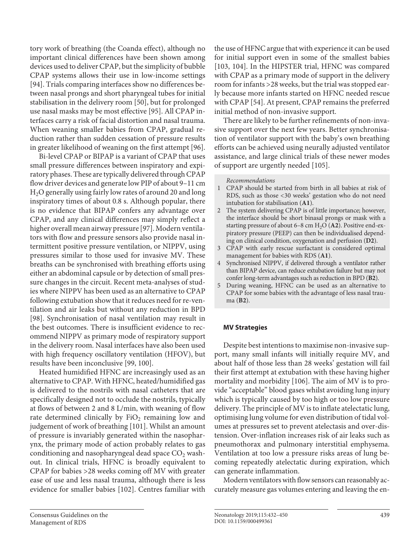tory work of breathing (the Coanda effect), although no important clinical differences have been shown among devices used to deliver CPAP, but the simplicity of bubble CPAP systems allows their use in low-income settings [94]. Trials comparing interfaces show no differences between nasal prongs and short pharyngeal tubes for initial stabilisation in the delivery room [50], but for prolonged use nasal masks may be most effective [95]. All CPAP interfaces carry a risk of facial distortion and nasal trauma. When weaning smaller babies from CPAP, gradual reduction rather than sudden cessation of pressure results in greater likelihood of weaning on the first attempt [96].

Bi-level CPAP or BIPAP is a variant of CPAP that uses small pressure differences between inspiratory and expiratory phases. These are typically delivered through CPAP flow driver devices and generate low PIP of about 9–11 cm H2O generally using fairly low rates of around 20 and long inspiratory times of about 0.8 s. Although popular, there is no evidence that BIPAP confers any advantage over CPAP, and any clinical differences may simply reflect a higher overall mean airway pressure [97]. Modern ventilators with flow and pressure sensors also provide nasal intermittent positive pressure ventilation, or NIPPV, using pressures similar to those used for invasive MV. These breaths can be synchronised with breathing efforts using either an abdominal capsule or by detection of small pressure changes in the circuit. Recent meta-analyses of studies where NIPPV has been used as an alternative to CPAP following extubation show that it reduces need for re-ventilation and air leaks but without any reduction in BPD [98]. Synchronisation of nasal ventilation may result in the best outcomes. There is insufficient evidence to recommend NIPPV as primary mode of respiratory support in the delivery room. Nasal interfaces have also been used with high frequency oscillatory ventilation (HFOV), but results have been inconclusive [99, 100].

Heated humidified HFNC are increasingly used as an alternative to CPAP. With HFNC, heated/humidified gas is delivered to the nostrils with nasal catheters that are specifically designed not to occlude the nostrils, typically at flows of between 2 and 8 L/min, with weaning of flow rate determined clinically by  $FiO<sub>2</sub>$  remaining low and judgement of work of breathing [101]. Whilst an amount of pressure is invariably generated within the nasopharynx, the primary mode of action probably relates to gas conditioning and nasopharyngeal dead space  $CO<sub>2</sub>$  washout. In clinical trials, HFNC is broadly equivalent to CPAP for babies >28 weeks coming off MV with greater ease of use and less nasal trauma, although there is less evidence for smaller babies [102]. Centres familiar with

the use of HFNC argue that with experience it can be used for initial support even in some of the smallest babies [103, 104]. In the HIPSTER trial, HFNC was compared with CPAP as a primary mode of support in the delivery room for infants >28 weeks, but the trial was stopped early because more infants started on HFNC needed rescue with CPAP [54]. At present, CPAP remains the preferred initial method of non-invasive support.

There are likely to be further refinements of non-invasive support over the next few years. Better synchronisation of ventilator support with the baby's own breathing efforts can be achieved using neurally adjusted ventilator assistance, and large clinical trials of these newer modes of support are urgently needed [105].

#### *Recommendations*

- 1 CPAP should be started from birth in all babies at risk of RDS, such as those <30 weeks' gestation who do not need intubation for stabilisation (**A1**).
- 2 The system delivering CPAP is of little importance; however, the interface should be short binasal prongs or mask with a starting pressure of about 6–8 cm H2O (**A2**). Positive end-expiratory pressure (PEEP) can then be individualised depending on clinical condition, oxygenation and perfusion (**D2**).
- 3 CPAP with early rescue surfactant is considered optimal management for babies with RDS (**A1**).
- 4 Synchronised NIPPV, if delivered through a ventilator rather than BIPAP device, can reduce extubation failure but may not confer long-term advantages such as reduction in BPD (**B2**).
- 5 During weaning, HFNC can be used as an alternative to CPAP for some babies with the advantage of less nasal trauma (**B2**).

### **MV Strategies**

Despite best intentions to maximise non-invasive support, many small infants will initially require MV, and about half of those less than 28 weeks' gestation will fail their first attempt at extubation with these having higher mortality and morbidity [106]. The aim of MV is to provide "acceptable" blood gases whilst avoiding lung injury which is typically caused by too high or too low pressure delivery. The principle of MV is to inflate atelectatic lung, optimising lung volume for even distribution of tidal volumes at pressures set to prevent atelectasis and over-distension. Over-inflation increases risk of air leaks such as pneumothorax and pulmonary interstitial emphysema. Ventilation at too low a pressure risks areas of lung becoming repeatedly atelectatic during expiration, which can generate inflammation.

Modern ventilators with flow sensors can reasonably accurately measure gas volumes entering and leaving the en-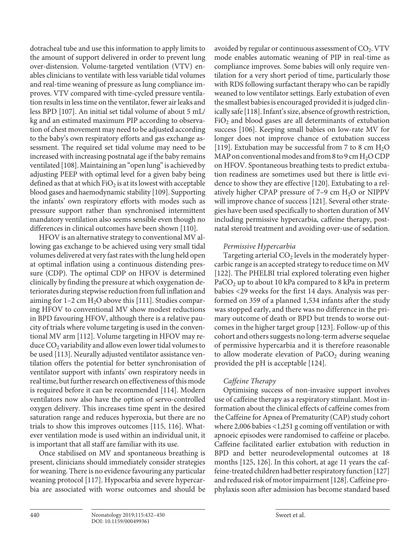dotracheal tube and use this information to apply limits to the amount of support delivered in order to prevent lung over-distension. Volume-targeted ventilation (VTV) enables clinicians to ventilate with less variable tidal volumes and real-time weaning of pressure as lung compliance improves. VTV compared with time-cycled pressure ventilation results in less time on the ventilator, fewer air leaks and less BPD [107]. An initial set tidal volume of about 5 mL/ kg and an estimated maximum PIP according to observation of chest movement may need to be adjusted according to the baby's own respiratory efforts and gas exchange assessment. The required set tidal volume may need to be increased with increasing postnatal age if the baby remains ventilated [108]. Maintaining an "open lung" is achieved by adjusting PEEP with optimal level for a given baby being defined as that at which  $FiO<sub>2</sub>$  is at its lowest with acceptable blood gases and haemodynamic stability [109]. Supporting the infants' own respiratory efforts with modes such as pressure support rather than synchronised intermittent mandatory ventilation also seems sensible even though no differences in clinical outcomes have been shown [110].

HFOV is an alternative strategy to conventional MV allowing gas exchange to be achieved using very small tidal volumes delivered at very fast rates with the lung held open at optimal inflation using a continuous distending pressure (CDP). The optimal CDP on HFOV is determined clinically by finding the pressure at which oxygenation deteriorates during stepwise reduction from full inflation and aiming for  $1-2$  cm  $H_2O$  above this [111]. Studies comparing HFOV to conventional MV show modest reductions in BPD favouring HFOV, although there is a relative paucity of trials where volume targeting is used in the conventional MV arm [112]. Volume targeting in HFOV may reduce  $CO<sub>2</sub>$  variability and allow even lower tidal volumes to be used [113]. Neurally adjusted ventilator assistance ventilation offers the potential for better synchronisation of ventilator support with infants' own respiratory needs in real time, but further research on effectiveness of this mode is required before it can be recommended [114]. Modern ventilators now also have the option of servo-controlled oxygen delivery. This increases time spent in the desired saturation range and reduces hyperoxia, but there are no trials to show this improves outcomes [115, 116]. Whatever ventilation mode is used within an individual unit, it is important that all staff are familiar with its use.

Once stabilised on MV and spontaneous breathing is present, clinicians should immediately consider strategies for weaning. There is no evidence favouring any particular weaning protocol [117]. Hypocarbia and severe hypercarbia are associated with worse outcomes and should be avoided by regular or continuous assessment of  $CO<sub>2</sub>$ . VTV mode enables automatic weaning of PIP in real-time as compliance improves. Some babies will only require ventilation for a very short period of time, particularly those with RDS following surfactant therapy who can be rapidly weaned to low ventilator settings. Early extubation of even the smallest babies is encouraged provided it is judged clinically safe [118]. Infant's size, absence of growth restriction,  $FiO<sub>2</sub>$  and blood gases are all determinants of extubation success [106]. Keeping small babies on low-rate MV for longer does not improve chance of extubation success [119]. Extubation may be successful from 7 to 8 cm  $H_2O$ MAP on conventional modes and from 8 to 9 cm  $H_2O$  CDP on HFOV. Spontaneous breathing tests to predict extubation readiness are sometimes used but there is little evidence to show they are effective [120]. Extubating to a relatively higher CPAP pressure of  $7-9$  cm  $H<sub>2</sub>O$  or NIPPV will improve chance of success [121]. Several other strategies have been used specifically to shorten duration of MV including permissive hypercarbia, caffeine therapy, postnatal steroid treatment and avoiding over-use of sedation.

## *Permissive Hypercarbia*

Targeting arterial  $CO<sub>2</sub>$  levels in the moderately hypercarbic range is an accepted strategy to reduce time on MV [122]. The PHELBI trial explored tolerating even higher PaCO<sub>2</sub> up to about 10 kPa compared to 8 kPa in preterm babies <29 weeks for the first 14 days. Analysis was performed on 359 of a planned 1,534 infants after the study was stopped early, and there was no difference in the primary outcome of death or BPD but trends to worse outcomes in the higher target group [123]. Follow-up of this cohort and others suggests no long-term adverse sequelae of permissive hypercarbia and it is therefore reasonable to allow moderate elevation of  $PaCO<sub>2</sub>$  during weaning provided the pH is acceptable [124].

## *Caffeine Therapy*

Optimising success of non-invasive support involves use of caffeine therapy as a respiratory stimulant. Most information about the clinical effects of caffeine comes from the Caffeine for Apnea of Prematurity (CAP) study cohort where 2,006 babies <1,251 g coming off ventilation or with apnoeic episodes were randomised to caffeine or placebo. Caffeine facilitated earlier extubation with reduction in BPD and better neurodevelopmental outcomes at 18 months [125, 126]. In this cohort, at age 11 years the caffeine-treated children had better respiratory function [127] and reduced risk of motor impairment [128]. Caffeine prophylaxis soon after admission has become standard based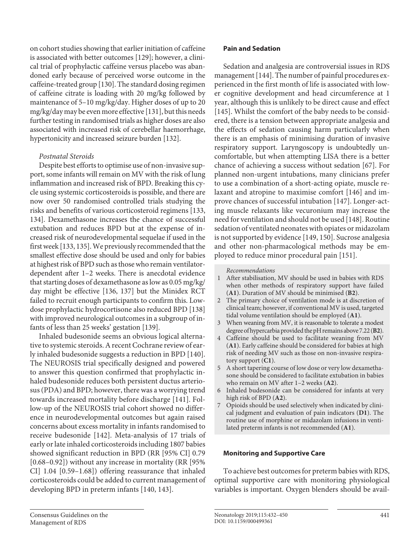on cohort studies showing that earlier initiation of caffeine is associated with better outcomes [129]; however, a clinical trial of prophylactic caffeine versus placebo was abandoned early because of perceived worse outcome in the caffeine-treated group [130]. The standard dosing regimen of caffeine citrate is loading with 20 mg/kg followed by maintenance of 5–10 mg/kg/day. Higher doses of up to 20 mg/kg/day may be even more effective [131], but this needs further testing in randomised trials as higher doses are also associated with increased risk of cerebellar haemorrhage, hypertonicity and increased seizure burden [132].

## *Postnatal Steroids*

Despite best efforts to optimise use of non-invasive support, some infants will remain on MV with the risk of lung inflammation and increased risk of BPD. Breaking this cycle using systemic corticosteroids is possible, and there are now over 50 randomised controlled trials studying the risks and benefits of various corticosteroid regimens [133, 134]. Dexamethasone increases the chance of successful extubation and reduces BPD but at the expense of increased risk of neurodevelopmental sequelae if used in the first week [133, 135]. We previously recommended that the smallest effective dose should be used and only for babies at highest risk of BPD such as those who remain ventilatordependent after 1–2 weeks. There is anecdotal evidence that starting doses of dexamethasone as low as 0.05 mg/kg/ day might be effective [136, 137] but the Minidex RCT failed to recruit enough participants to confirm this. Lowdose prophylactic hydrocortisone also reduced BPD [138] with improved neurological outcomes in a subgroup of infants of less than 25 weeks' gestation [139].

Inhaled budesonide seems an obvious logical alternative to systemic steroids. A recent Cochrane review of early inhaled budesonide suggests a reduction in BPD [140]. The NEUROSIS trial specifically designed and powered to answer this question confirmed that prophylactic inhaled budesonide reduces both persistent ductus arteriosus (PDA) and BPD; however, there was a worrying trend towards increased mortality before discharge [141]. Follow-up of the NEUROSIS trial cohort showed no difference in neurodevelopmental outcomes but again raised concerns about excess mortality in infants randomised to receive budesonide [142]. Meta-analysis of 17 trials of early or late inhaled corticosteroids including 1807 babies showed significant reduction in BPD (RR [95% CI] 0.79 [0.68–0.92]) without any increase in mortality (RR [95% CI] 1.04 [0.59–1.68]) offering reassurance that inhaled corticosteroids could be added to current management of developing BPD in preterm infants [140, 143].

## **Pain and Sedation**

Sedation and analgesia are controversial issues in RDS management [144]. The number of painful procedures experienced in the first month of life is associated with lower cognitive development and head circumference at 1 year, although this is unlikely to be direct cause and effect [145]. Whilst the comfort of the baby needs to be considered, there is a tension between appropriate analgesia and the effects of sedation causing harm particularly when there is an emphasis of minimising duration of invasive respiratory support. Laryngoscopy is undoubtedly uncomfortable, but when attempting LISA there is a better chance of achieving a success without sedation [67]. For planned non-urgent intubations, many clinicians prefer to use a combination of a short-acting opiate, muscle relaxant and atropine to maximise comfort [146] and improve chances of successful intubation [147]. Longer-acting muscle relaxants like vecuronium may increase the need for ventilation and should not be used [148]. Routine sedation of ventilated neonates with opiates or midazolam is not supported by evidence [149, 150]. Sucrose analgesia and other non-pharmacological methods may be employed to reduce minor procedural pain [151].

## *Recommendations*

- 1 After stabilisation, MV should be used in babies with RDS when other methods of respiratory support have failed (**A1**). Duration of MV should be minimised (**B2**).
- 2 The primary choice of ventilation mode is at discretion of clinical team; however, if conventional MV is used, targeted tidal volume ventilation should be employed (**A1**).
- 3 When weaning from MV, it is reasonable to tolerate a modest degree of hypercarbia provided the pH remains above 7.22 (**B2**).
- 4 Caffeine should be used to facilitate weaning from MV (**A1**). Early caffeine should be considered for babies at high risk of needing MV such as those on non-invasive respiratory support (**C1**).
- 5 A short tapering course of low dose or very low dexamethasone should be considered to facilitate extubation in babies who remain on MV after 1–2 weeks (**A2**).
- 6 Inhaled budesonide can be considered for infants at very high risk of BPD (**A2**).
- 7 Opioids should be used selectively when indicated by clinical judgment and evaluation of pain indicators (**D1**). The routine use of morphine or midazolam infusions in ventilated preterm infants is not recommended (**A1**).

## **Monitoring and Supportive Care**

To achieve best outcomes for preterm babies with RDS, optimal supportive care with monitoring physiological variables is important. Oxygen blenders should be avail-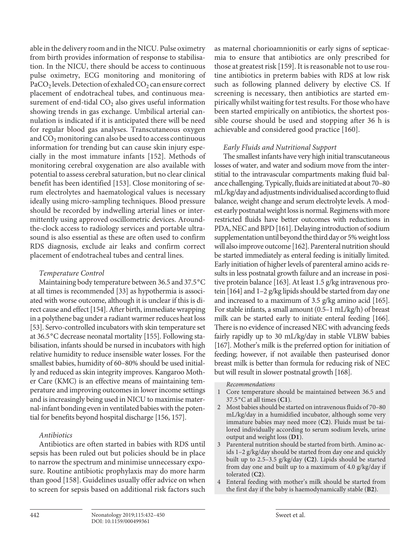able in the delivery room and in the NICU. Pulse oximetry from birth provides information of response to stabilisation. In the NICU, there should be access to continuous pulse oximetry, ECG monitoring and monitoring of PaCO<sub>2</sub> levels. Detection of exhaled  $CO<sub>2</sub>$  can ensure correct placement of endotracheal tubes, and continuous measurement of end-tidal  $CO<sub>2</sub>$  also gives useful information showing trends in gas exchange. Umbilical arterial cannulation is indicated if it is anticipated there will be need for regular blood gas analyses. Transcutaneous oxygen and  $CO<sub>2</sub>$  monitoring can also be used to access continuous information for trending but can cause skin injury especially in the most immature infants [152]. Methods of monitoring cerebral oxygenation are also available with potential to assess cerebral saturation, but no clear clinical benefit has been identified [153]. Close monitoring of serum electrolytes and haematological values is necessary ideally using micro-sampling techniques. Blood pressure should be recorded by indwelling arterial lines or intermittently using approved oscillometric devices. Aroundthe-clock access to radiology services and portable ultrasound is also essential as these are often used to confirm RDS diagnosis, exclude air leaks and confirm correct placement of endotracheal tubes and central lines.

## *Temperature Control*

Maintaining body temperature between 36.5 and 37.5 °C at all times is recommended [33] as hypothermia is associated with worse outcome, although it is unclear if this is direct cause and effect [154]. After birth, immediate wrapping in a polythene bag under a radiant warmer reduces heat loss [53]. Servo-controlled incubators with skin temperature set at 36.5 °C decrease neonatal mortality [155]. Following stabilisation, infants should be nursed in incubators with high relative humidity to reduce insensible water losses. For the smallest babies, humidity of 60–80% should be used initially and reduced as skin integrity improves. Kangaroo Mother Care (KMC) is an effective means of maintaining temperature and improving outcomes in lower income settings and is increasingly being used in NICU to maximise maternal-infant bonding even in ventilated babies with the potential for benefits beyond hospital discharge [156, 157].

## *Antibiotics*

Antibiotics are often started in babies with RDS until sepsis has been ruled out but policies should be in place to narrow the spectrum and minimise unnecessary exposure. Routine antibiotic prophylaxis may do more harm than good [158]. Guidelines usually offer advice on when to screen for sepsis based on additional risk factors such as maternal chorioamnionitis or early signs of septicaemia to ensure that antibiotics are only prescribed for those at greatest risk [159]. It is reasonable not to use routine antibiotics in preterm babies with RDS at low risk such as following planned delivery by elective CS. If screening is necessary, then antibiotics are started empirically whilst waiting for test results. For those who have been started empirically on antibiotics, the shortest possible course should be used and stopping after 36 h is achievable and considered good practice [160].

## *Early Fluids and Nutritional Support*

The smallest infants have very high initial transcutaneous losses of water, and water and sodium move from the interstitial to the intravascular compartments making fluid balance challenging. Typically, fluids are initiated at about 70–80 mL/kg/day and adjustments individualised according to fluid balance, weight change and serum electrolyte levels. A modest early postnatal weight loss is normal. Regimens with more restricted fluids have better outcomes with reductions in PDA, NEC and BPD [161]. Delaying introduction of sodium supplementation until beyond the third day or 5% weight loss will also improve outcome [162]. Parenteral nutrition should be started immediately as enteral feeding is initially limited. Early initiation of higher levels of parenteral amino acids results in less postnatal growth failure and an increase in positive protein balance [163]. At least 1.5 g/kg intravenous protein [164] and 1–2 g/kg lipids should be started from day one and increased to a maximum of 3.5 g/kg amino acid [165]. For stable infants, a small amount (0.5–1 mL/kg/h) of breast milk can be started early to initiate enteral feeding [166]. There is no evidence of increased NEC with advancing feeds fairly rapidly up to 30 mL/kg/day in stable VLBW babies [167]. Mother's milk is the preferred option for initiation of feeding; however, if not available then pasteurised donor breast milk is better than formula for reducing risk of NEC but will result in slower postnatal growth [168].

*Recommendations*

- 1 Core temperature should be maintained between 36.5 and 37.5 °C at all times (**C1**).
- 2 Most babies should be started on intravenous fluids of 70–80 mL/kg/day in a humidified incubator, although some very immature babies may need more (**C2**). Fluids must be tailored individually according to serum sodium levels, urine output and weight loss (**D1**).
- 3 Parenteral nutrition should be started from birth. Amino acids 1–2 g/kg/day should be started from day one and quickly built up to 2.5–3.5 g/kg/day **(C2)**. Lipids should be started from day one and built up to a maximum of 4.0 g/kg/day if tolerated (**C2**).
- 4 Enteral feeding with mother's milk should be started from the first day if the baby is haemodynamically stable (**B2**).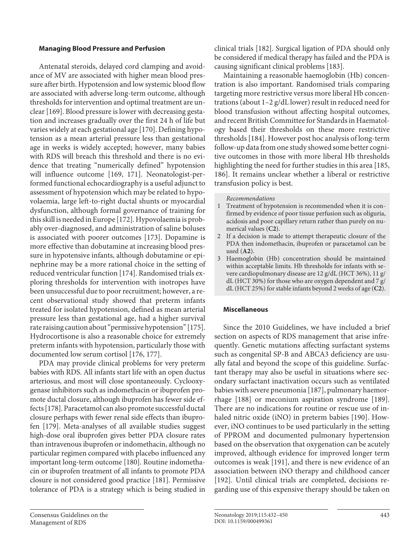## **Managing Blood Pressure and Perfusion**

Antenatal steroids, delayed cord clamping and avoidance of MV are associated with higher mean blood pressure after birth. Hypotension and low systemic blood flow are associated with adverse long-term outcome, although thresholds for intervention and optimal treatment are unclear [169]. Blood pressure is lower with decreasing gestation and increases gradually over the first 24 h of life but varies widely at each gestational age [170]. Defining hypotension as a mean arterial pressure less than gestational age in weeks is widely accepted; however, many babies with RDS will breach this threshold and there is no evidence that treating "numerically defined" hypotension will influence outcome [169, 171]. Neonatologist-performed functional echocardiography is a useful adjunct to assessment of hypotension which may be related to hypovolaemia, large left-to-right ductal shunts or myocardial dysfunction, although formal governance of training for this skill is needed in Europe [172]. Hypovolaemia is probably over-diagnosed, and administration of saline boluses is associated with poorer outcomes [173]. Dopamine is more effective than dobutamine at increasing blood pressure in hypotensive infants, although dobutamine or epinephrine may be a more rational choice in the setting of reduced ventricular function [174]. Randomised trials exploring thresholds for intervention with inotropes have been unsuccessful due to poor recruitment; however, a recent observational study showed that preterm infants treated for isolated hypotension, defined as mean arterial pressure less than gestational age, had a higher survival rate raising caution about "permissive hypotension" [175]. Hydrocortisone is also a reasonable choice for extremely preterm infants with hypotension, particularly those with documented low serum cortisol [176, 177].

PDA may provide clinical problems for very preterm babies with RDS. All infants start life with an open ductus arteriosus, and most will close spontaneously. Cyclooxygenase inhibitors such as indomethacin or ibuprofen promote ductal closure, although ibuprofen has fewer side effects [178]. Paracetamol can also promote successful ductal closure perhaps with fewer renal side effects than ibuprofen [179]. Meta-analyses of all available studies suggest high-dose oral ibuprofen gives better PDA closure rates than intravenous ibuprofen or indomethacin, although no particular regimen compared with placebo influenced any important long-term outcome [180]. Routine indomethacin or ibuprofen treatment of all infants to promote PDA closure is not considered good practice [181]. Permissive tolerance of PDA is a strategy which is being studied in

Consensus Guidelines on the Management of RDS

clinical trials [182]. Surgical ligation of PDA should only be considered if medical therapy has failed and the PDA is causing significant clinical problems [183].

Maintaining a reasonable haemoglobin (Hb) concentration is also important. Randomised trials comparing targeting more restrictive versus more liberal Hb concentrations (about 1–2 g/dL lower) result in reduced need for blood transfusion without affecting hospital outcomes, and recent British Committee for Standards in Haematology based their thresholds on these more restrictive thresholds [184]. However post hoc analysis of long-term follow-up data from one study showed some better cognitive outcomes in those with more liberal Hb thresholds highlighting the need for further studies in this area [185, 186]. It remains unclear whether a liberal or restrictive transfusion policy is best.

#### *Recommendations*

- 1 Treatment of hypotension is recommended when it is confirmed by evidence of poor tissue perfusion such as oliguria, acidosis and poor capillary return rather than purely on numerical values (**C2**).
- 2 If a decision is made to attempt therapeutic closure of the PDA then indomethacin, ibuprofen or paracetamol can be used (**A2**).
- 3 Haemoglobin (Hb) concentration should be maintained within acceptable limits. Hb thresholds for infants with severe cardiopulmonary disease are 12 g/dL (HCT 36%), 11 g/ dL (HCT 30%) for those who are oxygen dependent and 7 g/ dL (HCT 25%) for stable infants beyond 2 weeks of age (**C2**).

### **Miscellaneous**

Since the 2010 Guidelines, we have included a brief section on aspects of RDS management that arise infrequently. Genetic mutations affecting surfactant systems such as congenital SP-B and ABCA3 deficiency are usually fatal and beyond the scope of this guideline. Surfactant therapy may also be useful in situations where secondary surfactant inactivation occurs such as ventilated babies with severe pneumonia [187], pulmonary haemorrhage [188] or meconium aspiration syndrome [189]. There are no indications for routine or rescue use of inhaled nitric oxide (iNO) in preterm babies [190]. However, iNO continues to be used particularly in the setting of PPROM and documented pulmonary hypertension based on the observation that oxygenation can be acutely improved, although evidence for improved longer term outcomes is weak [191], and there is new evidence of an association between iNO therapy and childhood cancer [192]. Until clinical trials are completed, decisions regarding use of this expensive therapy should be taken on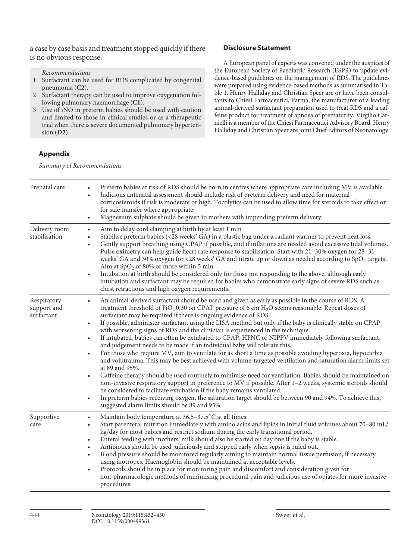a case by case basis and treatment stopped quickly if there is no obvious response.

#### *Recommendations*

- 1 Surfactant can be used for RDS complicated by congenital pneumonia (**C2**).
- 2 Surfactant therapy can be used to improve oxygenation following pulmonary haemorrhage (**C1**).
- 3 Use of iNO in preterm babies should be used with caution and limited to those in clinical studies or as a therapeutic trial when there is severe documented pulmonary hypertension (**D2**).

## **Appendix**

*Summary of Recommendations*

## **Disclosure Statement**

A European panel of experts was convened under the auspices of the European Society of Paediatric Research (ESPR) to update evidence-based guidelines on the management of RDS. The guidelines were prepared using evidence-based methods as summarised in Table 1. Henry Halliday and Christian Speer are or have been consultants to Chiesi Farmaceutici, Parma, the manufacturer of a leading animal-derived surfactant preparation used to treat RDS and a caffeine product for treatment of apnoea of prematurity. Virgilio Carnielli is a member of the Chiesi Farmaceutici Advisory Board. Henry Halliday and Christian Speer are joint Chief Editors of Neonatology.

| Prenatal care                            | Preterm babies at risk of RDS should be born in centres where appropriate care including MV is available.<br>Judicious antenatal assessment should include risk of preterm delivery and need for maternal<br>$\bullet$<br>corticosteroids if risk is moderate or high. Tocolytics can be used to allow time for steroids to take effect or<br>for safe transfer where appropriate.<br>Magnesium sulphate should be given to mothers with impending preterm delivery.<br>$\bullet$                                                                                                                                                                                                                                                                                                                                                                                                                                                                                                                                                                                                                                                                                                                                                                                                                                                                                                                                                                              |
|------------------------------------------|----------------------------------------------------------------------------------------------------------------------------------------------------------------------------------------------------------------------------------------------------------------------------------------------------------------------------------------------------------------------------------------------------------------------------------------------------------------------------------------------------------------------------------------------------------------------------------------------------------------------------------------------------------------------------------------------------------------------------------------------------------------------------------------------------------------------------------------------------------------------------------------------------------------------------------------------------------------------------------------------------------------------------------------------------------------------------------------------------------------------------------------------------------------------------------------------------------------------------------------------------------------------------------------------------------------------------------------------------------------------------------------------------------------------------------------------------------------|
| Delivery room<br>stabilisation           | Aim to delay cord clamping at birth by at least 1 min<br>$\bullet$<br>Stabilise preterm babies (<28 weeks' GA) in a plastic bag under a radiant warmer to prevent heat loss.<br>$\bullet$<br>Gently support breathing using CPAP if possible, and if inflations are needed avoid excessive tidal volumes.<br>$\bullet$<br>Pulse oximetry can help guide heart rate response to stabilisation. Start with 21-30% oxygen for 28-31<br>weeks' GA and 30% oxygen for <28 weeks' GA and titrate up or down as needed according to $SpO2$ targets.<br>Aim at $SpO2$ of 80% or more within 5 min.<br>Intubation at birth should be considered only for those not responding to the above, although early<br>$\bullet$<br>intubation and surfactant may be required for babies who demonstrate early signs of severe RDS such as<br>chest retractions and high oxygen requirements.                                                                                                                                                                                                                                                                                                                                                                                                                                                                                                                                                                                    |
| Respiratory<br>support and<br>surfactant | An animal-derived surfactant should be used and given as early as possible in the course of RDS. A<br>$\bullet$<br>treatment threshold of $FiO2 0.30$ on CPAP pressure of 6 cm $H2O$ seems reasonable. Repeat doses of<br>surfactant may be required if there is ongoing evidence of RDS.<br>If possible, administer surfactant using the LISA method but only if the baby is clinically stable on CPAP<br>$\bullet$<br>with worsening signs of RDS and the clinician is experienced in the technique.<br>If intubated, babies can often be extubated to CPAP, HFNC or NIPPV immediately following surfactant,<br>$\bullet$<br>and judgement needs to be made if an individual baby will tolerate this.<br>For those who require MV, aim to ventilate for as short a time as possible avoiding hyperoxia, hypocarbia<br>$\bullet$<br>and volutrauma. This may be best achieved with volume-targeted ventilation and saturation alarm limits set<br>at 89 and 95%.<br>Caffeine therapy should be used routinely to minimise need for ventilation. Babies should be maintained on<br>$\bullet$<br>non-invasive respiratory support in preference to MV if possible. After 1-2 weeks, systemic steroids should<br>be considered to facilitate extubation if the baby remains ventilated.<br>In preterm babies receiving oxygen, the saturation target should be between 90 and 94%. To achieve this,<br>$\bullet$<br>suggested alarm limits should be 89 and 95%. |
| Supportive<br>care                       | Maintain body temperature at 36.5-37.5°C at all times.<br>$\bullet$<br>Start parenteral nutrition immediately with amino acids and lipids in initial fluid volumes about 70-80 mL/<br>$\bullet$<br>kg/day for most babies and restrict sodium during the early transitional period.<br>Enteral feeding with mothers' milk should also be started on day one if the baby is stable.<br>$\bullet$<br>Antibiotics should be used judiciously and stopped early when sepsis is ruled out.<br>Blood pressure should be monitored regularly aiming to maintain normal tissue perfusion, if necessary<br>using inotropes. Haemoglobin should be maintained at acceptable levels.<br>Protocols should be in place for monitoring pain and discomfort and consideration given for<br>$\bullet$<br>non-pharmacologic methods of minimising procedural pain and judicious use of opiates for more invasive<br>procedures.                                                                                                                                                                                                                                                                                                                                                                                                                                                                                                                                                 |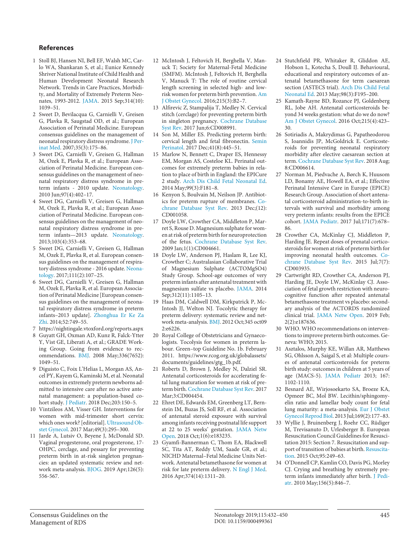#### **References**

- 1 Stoll BJ, Hansen NI, Bell EF, Walsh MC, Carlo WA, Shankaran S, et al.; Eunice Kennedy Shriver National Institute of Child Health and Human Development Neonatal Research Network. Trends in Care Practices, Morbidity, and Mortality of Extremely Preterm Neonates, 1993-2012. JAMA. 2015 Sep;314(10): 1039–51.
- 2 Sweet D, Bevilacqua G, Carnielli V, Greisen G, Plavka R, Saugstad OD, et al.; European Association of Perinatal Medicine. European consensus guidelines on the management of neonatal respiratory distress syndrome. J Perinat Med. 2007;35(3):175–86.
- 3 Sweet DG, Carnielli V, Greisen G, Hallman M, Ozek E, Plavka R, et al.; European Association of Perinatal Medicine. European consensus guidelines on the management of neonatal respiratory distress syndrome in preterm infants - 2010 update. Neonatology. 2010 Jun;97(4):402–17.
- 4 Sweet DG, Carnielli V, Greisen G, Hallman M, Ozek E, Plavka R, et al.; European Association of Perinatal Medicine. European consensus guidelines on the management of neonatal respiratory distress syndrome in preterm infants—2013 update. Neonatology. 2013;103(4):353–68.
- 5 Sweet DG, Carnielli V, Greisen G, Hallman M, Ozek E, Plavka R, et al. European consensus guidelines on the management of respiratory distress syndrome - 2016 update. Neonatology. 2017;111(2):107–25.
- 6 Sweet DG, Carnielli V, Greisen G, Hallman M, Ozek E, Plavka R, et al. European Association of Perinatal Medicine [European consensus guidelines on the management of neonatal respiratory distress syndrome in preterm infants–2013 update]. Zhonghua Er Ke Za Zhi. 2014;52:749–55.
- 7 https://nightingale.vtoxford.org/reports.aspx
- 8 Guyatt GH, Oxman AD, Kunz R, Falck-Ytter Y, Vist GE, Liberati A, et al.; GRADE Working Group. Going from evidence to recommendations. BMJ. 2008 May;336(7652): 1049–51.
- 9 Diguisto C, Foix L'Helias L, Morgan AS, Ancel PY, Kayem G, Kaminski M, et al. Neonatal outcomes in extremely preterm newborns admitted to intensive care after no active antenatal management: a population-based cohort study. J Pediatr. 2018 Dec;203:150–5.
- 10 Vintzileos AM, Visser GH. Interventions for women with mid-trimester short cervix: which ones work? [editorial]. Ultrasound Obstet Gynecol. 2017 Mar;49(3):295–300.
- 11 Jarde A, Lutsiv O, Beyene J, McDonald SD. Vaginal progesterone, oral progesterone, 17- OHPC, cerclage, and pessary for preventing preterm birth in at-risk singleton pregnancies: an updated systematic review and network meta-analysis. BJOG. 2019 Apr;126(5): 556-567.
- 12 McIntosh J, Feltovich H, Berghella V, Manuck T; Society for Maternal-Fetal Medicine (SMFM). McIntosh J, Feltovich H, Berghella V, Manuck T: The role of routine cervical length screening in selected high- and lowrisk women for preterm birth prevention. Am J Obstet Gynecol. 2016;215(3):B2–7.
- 13 Alfirevic Z, Stampalija T, Medley N. Cervical stitch (cerclage) for preventing preterm birth in singleton pregnancy. Cochrane Database Syst Rev. 2017 Jun;6:CD008991.
- 14 Son M, Miller ES. Predicting preterm birth: cervical length and fetal fibronectin. Semin Perinatol. 2017 Dec;41(8):445–51.
- 15 Marlow N, Bennett C, Draper ES, Hennessy EM, Morgan AS, Costeloe KL. Perinatal outcomes for extremely preterm babies in relation to place of birth in England: the EPICure 2 study. Arch Dis Child Fetal Neonatal Ed. 2014 May;99(3):F181–8.
- 16 Kenyon S, Boulvain M, Neilson JP. Antibiotics for preterm rupture of membranes. Cochrane Database Syst Rev. 2013 Dec;(12): CD001058.
- 17 Doyle LW, Crowther CA, Middleton P, Marret S, Rouse D. Magnesium sulphate for women at risk of preterm birth for neuroprotection of the fetus. Cochrane Database Syst Rev. 2009 Jan;1(1):CD004661.
- 18 Doyle LW, Anderson PJ, Haslam R, Lee KJ, Crowther C; Australasian Collaborative Trial of Magnesium Sulphate (ACTOMgSO4) Study Group. School-age outcomes of very preterm infants after antenatal treatment with magnesium sulfate vs placebo. JAMA. 2014 Sep;312(11):1105–13.
- 19 Haas DM, Caldwell DM, Kirkpatrick P, Mc-Intosh JJ, Welton NJ. Tocolytic therapy for preterm delivery: systematic review and network meta-analysis. BMJ. 2012 Oct;345 oct09 2:e6226.
- 20 Royal College of Obstetricians and Gynaecologists. Tocolysis for women in preterm labour. Green–top Guideline No. 1b. February 2011. https://www.rcog.org.uk/globalassets/ documents/guidelines/gtg\_1b.pdf.
- 21 Roberts D, Brown J, Medley N, Dalziel SR. Antenatal corticosteroids for accelerating fetal lung maturation for women at risk of preterm birth. Cochrane Database Syst Rev. 2017 Mar;3:CD004454.
- 22 Ehret DE, Edwards EM, Greenberg LT, Bernstein IM, Buzas JS, Soll RF, et al. Association of antenatal steroid exposure with survival among infants receiving postnatal life support at 22 to 25 weeks' gestation. JAMA Netw Open. 2018 Oct;1(6):e183235.
- 23 Gyamfi-Bannerman C, Thom EA, Blackwell SC, Tita AT, Reddy UM, Saade GR, et al.; NICHD Maternal–Fetal Medicine Units Network. Antenatal betamethasone for women at risk for late preterm delivery. N Engl J Med. 2016 Apr;374(14):1311–20.
- 24 Stutchfield PR, Whitaker R, Gliddon AE, Hobson L, Kotecha S, Doull IJ. Behavioural, educational and respiratory outcomes of antenatal betamethasone for term caesarean section (ASTECS trial). Arch Dis Child Fetal Neonatal Ed. 2013 May;98(3):F195–200.
- 25 Kamath-Rayne BD, Rozance PJ, Goldenberg RL, Jobe AH. Antenatal corticosteroids beyond 34 weeks gestation: what do we do now? Am J Obstet Gynecol. 2016 Oct;215(4):423– 30.
- 26 Sotiriadis A, Makrydimas G, Papatheodorou S, Ioannidis JP, McGoldrick E. Corticosteroids for preventing neonatal respiratory morbidity after elective caesarean section at term. Cochrane Database Syst Rev. 2018 Aug; 8:CD006614.
- 27 Norman M, Piedvache A, Børch K, Huusom LD, Bonamy AE, Howell EA, et al.; Effective Perinatal Intensive Care in Europe (EPICE) Research Group. Association of short antenatal corticosteroid administration-to-birth intervals with survival and morbidity among very preterm infants: results from the EPICE cohort. JAMA Pediatr. 2017 Jul;171(7):678– 86.
- 28 Crowther CA, McKinlay CJ, Middleton P, Harding JE. Repeat doses of prenatal corticosteroids for women at risk of preterm birth for improving neonatal health outcomes. Cochrane Database Syst Rev. 2015 Jul;7(7): CD003935.
- 29 Cartwright RD, Crowther CA, Anderson PJ, Harding JE, Doyle LW, McKinlay CJ. Association of fetal growth restriction with neurocognitive function after repeated antenatal betamethasone treatment vs placebo: secondary analysis of the ACTORDS randomized clinical trial. JAMA Netw Open. 2019 Feb; 2(2):e187636.
- 30 WHO. WHO recommendations on interventions to improve preterm birth outcomes. Geneva: WHO; 2015.
- 31 Asztalos, Murphy KE, Willan AR, Matthews SG, Ohlsson A, Saigal S, et al: Multiple courses of antenatal corticosteroids for preterm birth study: outcomes in children at 5 years of age (MACS-5). JAMA Pediatr 2013; 167: 1102-1110.
- 32 Besnard AE, Wirjosoekarto SA, Broeze KA, Opmeer BC, Mol BW. Lecithin/sphingomyelin ratio and lamellar body count for fetal lung maturity: a meta-analysis. Eur J Obstet Gynecol Reprod Biol. 2013 Jul;169(2):177–83.
- 33 Wyllie J, Bruinenberg J, Roehr CC, Rüdiger M, Trevisanuto D, Urlesberger B. European Resuscitation Council Guidelines for Resuscitation 2015: Section 7. Resuscitation and support of transition of babies at birth. Resuscitation. 2015 Oct;95:249–63.
- 34 O'Donnell CP, Kamlin CO, Davis PG, Morley CJ. Crying and breathing by extremely preterm infants immediately after birth. J Pediatr. 2010 May;156(5):846–7.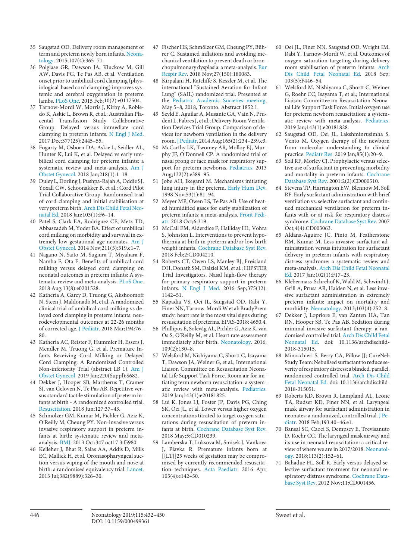- 35 Saugstad OD. Delivery room management of term and preterm newly born infants. Neonatology. 2015;107(4):365–71.
- 36 Polglase GR, Dawson JA, Kluckow M, Gill AW, Davis PG, Te Pas AB, et al. Ventilation onset prior to umbilical cord clamping (physiological-based cord clamping) improves systemic and cerebral oxygenation in preterm lambs. PLoS One. 2015 Feb;10(2):e0117504.
- 37 Tarnow-Mordi W, Morris J, Kirby A, Robledo K, Askie L, Brown R, et al.; Australian Placental Transfusion Study Collaborative Group. Delayed versus immediate cord clamping in preterm infants. N Engl J Med. 2017 Dec;377(25):2445–55.
- 38 Fogarty M, Osborn DA, Askie L, Seidler AL, Hunter K, Lui K, et al. Delayed vs early umbilical cord clamping for preterm infants: a systematic review and meta-analysis. Am J Obstet Gynecol. 2018 Jan;218(1):1–18.
- 39 Duley L, Dorling J, Pushpa-Rajah A, Oddie SJ, Yoxall CW, Schoonakker B, et al.; Cord Pilot Trial Collaborative Group. Randomised trial of cord clamping and initial stabilisation at very preterm birth. Arch Dis Child Fetal Neonatal Ed. 2018 Jan;103(1):F6–14.
- 40 Patel S, Clark EA, Rodriguez CE, Metz TD, Abbaszadeh M, Yoder BA. Effect of umbilical cord milking on morbidity and survival in extremely low gestational age neonates. Am J Obstet Gynecol. 2014 Nov;211(5):519.e1–7.
- 41 Nagano N, Saito M, Sugiura T, Miyahara F, Namba F, Ota E. Benefits of umbilical cord milking versus delayed cord clamping on neonatal outcomes in preterm infants: A systematic review and meta-analysis. PLoS One. 2018 Aug;13(8):e0201528.
- 42 Katheria A, Garey D, Truong G, Akshoomoff N, Steen J, Maldonado M, et al. A randomized clinical trial of umbilical cord milking vs delayed cord clamping in preterm infants: neurodevelopmental outcomes at 22-26 months of corrected age. J Pediatr. 2018 Mar;194:76– 80.
- 43 Katheria AC, Reister F, Hummler H, Essers J, Mendler M, Truong G, et al. Premature Infants Receiving Cord Milking or Delayed Cord Clamping: A Randomized Controlled Non-inferiority Trial (abstract LB 1). Am J Obstet Gynecol 2019 Jan;220(Suppl):S682.
- 44 Dekker J, Hooper SB, Martherus T, Cramer SJ, van Geloven N, Te Pas AB. Repetitive versus standard tactile stimulation of preterm infants at birth - A randomized controlled trial. Resuscitation. 2018 Jun;127:37–43.
- 45 Schmölzer GM, Kumar M, Pichler G, Aziz K, O'Reilly M, Cheung PY. Non-invasive versus invasive respiratory support in preterm infants at birth: systematic review and metaanalysis. BMJ. 2013 Oct;347 oct17 3:f5980.
- 46 Kelleher J, Bhat R, Salas AA, Addis D, Mills EC, Mallick H, et al. Oronasopharyngeal suction versus wiping of the mouth and nose at birth: a randomised equivalency trial. Lancet. 2013 Jul;382(9889):326–30.
- 47 Fischer HS, Schmölzer GM, Cheung PY, Bührer C. Sustained inflations and avoiding mechanical ventilation to prevent death or bronchopulmonary dysplasia: a meta-analysis. Eur Respir Rev. 2018 Nov;27(150):180083.
- 48 Kirpalani H, Ratcliffe S, Keszler M, et al. The international "Sustained Aeration for Infant Lung" (SAIL) randomized trial. Presented at the Pediatric Academic Societies meeting, May 5–8, 2018, Toronto. Abstract 1852.1.
- 49 Szyld E, Aguilar A, Musante GA, Vain N, Prudent L, Fabres J, et al.; Delivery Room Ventilation Devices Trial Group. Comparison of devices for newborn ventilation in the delivery room. J Pediatr. 2014 Aug;165(2):234–239.e3.
- 50 McCarthy LK, Twomey AR, Molloy EJ, Murphy JF, O'Donnell CP. A randomized trial of nasal prong or face mask for respiratory support for preterm newborns. Pediatrics. 2013 Aug;132(2):e389–95.
- 51 Jobe AH, Ikegami M. Mechanisms initiating lung injury in the preterm. Early Hum Dev. 1998 Nov;53(1):81–94.
- 52 Meyer MP, Owen LS, Te Pas AB. Use of heated humidified gases for early stabilization of preterm infants: a meta-analysis. Front Pediatr. 2018 Oct;6:319.
- 53 McCall EM, Alderdice F, Halliday HL, Vohra S, Johnston L. Interventions to prevent hypothermia at birth in preterm and/or low birth weight infants. Cochrane Database Syst Rev. 2018 Feb;2:CD004210.
- 54 Roberts CT, Owen LS, Manley BJ, Frøisland DH, Donath SM, Dalziel KM, et al.; HIPSTER Trial Investigators. Nasal high-flow therapy for primary respiratory support in preterm infants. N Engl J Med. 2016 Sep;375(12): 1142–51.
- 55 Kapadia VS, Oei JL, Saugstad OD, Rabi Y, Finer NN, Tarnow-Mordi W et al: BradyPrem study: heart rate is the most vital signs during resuscitation of preterms. EPAS-2018: 4650.4.
- 56 Phillipos E, Solevåg AL, Pichler G, Aziz K, van Os S, O'Reilly M, et al. Heart rate assessment immediately after birth. Neonatology. 2016; 109(2):130–8.
- 57 Welsford M, Nishiyama C, Shortt C, Isayama T, Dawson JA, Weiner G, et al.; International Liaison Committee on Resuscitation Neonatal Life Support Task Force. Room air for initiating term newborn resuscitation: a systematic review with meta-analysis. Pediatrics. 2019 Jan;143(1):e20181825.
- 58 Lui K, Jones LJ, Foster JP, Davis PG, Ching SK, Oei JL, et al. Lower versus higher oxygen concentrations titrated to target oxygen saturations during resuscitation of preterm infants at birth. Cochrane Database Syst Rev. 2018 May;5:CD010239.
- 59 Lamberska T, Luksova M, Smisek J, Vankova J, Plavka R. Premature infants born at [{LT}]25 weeks of gestation may be compromised by currently recommended resuscitation techniques. Acta Paediatr. 2016 Apr; 105(4):e142–50.
- 60 Oei JL, Finer NN, Saugstad OD, Wright IM, Rabi Y, Tarnow-Mordi W, et al. Outcomes of oxygen saturation targeting during delivery room stabilisation of preterm infants. Arch Dis Child Fetal Neonatal Ed. 2018 Sep; 103(5):F446–54.
- 61 Welsford M, Nishiyama C, Shortt C, Weiner G, Roehr CC, Isayama T, et al.; International Liaison Committee on Resuscitation Neonatal Life Support Task Force. Initial oxygen use for preterm newborn resuscitation: a systematic review with meta-analysis. Pediatrics. 2019 Jan;143(1):e20181828.
- 62 Saugstad OD, Oei JL, Lakshminrusimha S, Vento M. Oxygen therapy of the newborn from molecular understanding to clinical practice. Pediatr Res. 2019 Jan;85(1):20–9.
- 63 Soll RF, Morley CJ. Prophylactic versus selective use of surfactant in preventing morbidity and mortality in preterm infants. Cochrane Database Syst Rev. 2001;2(2):CD000510.
- 64 Stevens TP, Harrington EW, Blennow M, Soll RF. Early surfactant administration with brief ventilation vs. selective surfactant and continued mechanical ventilation for preterm infants with or at risk for respiratory distress syndrome. Cochrane Database Syst Rev. 2007 Oct;4(4):CD003063.
- 65 Aldana-Aguirre JC, Pinto M, Featherstone RM, Kumar M. Less invasive surfactant administration versus intubation for surfactant delivery in preterm infants with respiratory distress syndrome: a systematic review and meta-analysis. Arch Dis Child Fetal Neonatal Ed. 2017 Jan;102(1):F17–23.
- 66 Klebermass-Schrehof K, Wald M, Schwindt J, Grill A, Prusa AR, Haiden N, et al. Less invasive surfactant administration in extremely preterm infants: impact on mortality and morbidity. Neonatology. 2013;103(4):252–8.
- 67 Dekker J, Lopriore E, van Zanten HA, Tan RN, Hooper SB, Te Pas AB. Sedation during minimal invasive surfactant therapy: a randomised controlled trial. Arch Dis Child Fetal Neonatal Ed. doi: 10.1136/archdischild-2018-315015.
- 68 Minocchieri S, Berry CA, Pillow JJ; CureNeb Study Team: Nebulised surfactant to reduce severity of respiratory distress: a blinded, parallel, randomised controlled trial. Arch Dis Child Fetal Neonatal Ed. doi: 10.1136/archdischild-2018-315051.
- 69 Roberts KD, Brown R, Lampland AL, Leone TA, Rudser KD, Finer NN, et al. Laryngeal mask airway for surfactant administration in neonates: a randomized, controlled trial. J Pediatr. 2018 Feb;193:40–46.e1.
- 70 Bansal SC, Caoci S, Dempsey E, Trevisanuto D, Roehr CC. The laryngeal mask airway and its use in neonatal resuscitation: a critical review of where we are in 2017/2018. Neonatology. 2018;113(2):152–61.
- 71 Bahadue FL, Soll R. Early versus delayed selective surfactant treatment for neonatal respiratory distress syndrome. Cochrane Database Syst Rev. 2012 Nov;11:CD001456.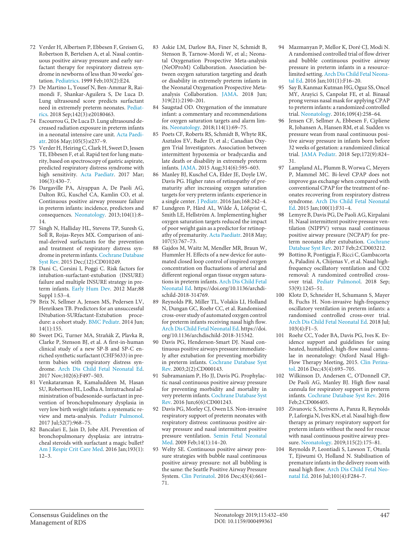- 72 Verder H, Albertsen P, Ebbesen F, Greisen G, Robertson B, Bertelsen A, et al. Nasal continuous positive airway pressure and early surfactant therapy for respiratory distress syndrome in newborns of less than 30 weeks' gestation. Pediatrics. 1999 Feb;103(2):E24.
- 73 De Martino L, Yousef N, Ben-Ammar R, Raimondi F, Shankar-Aguilera S, De Luca D. Lung ultrasound score predicts surfactant need in extremely preterm neonates. Pediatrics. 2018 Sep;142(3):e20180463.
- 74 Escourrou G, De Luca D. Lung ultrasound decreased radiation exposure in preterm infants in a neonatal intensive care unit. Acta Paediatr. 2016 May;105(5):e237–9.
- 75 Verder H, Heiring C, Clark H, Sweet D, Jessen TE, Ebbesen F, et al. Rapid test for lung maturity, based on spectroscopy of gastric aspirate, predicted respiratory distress syndrome with high sensitivity. Acta Paediatr. 2017 Mar;  $106(3):430-7.$
- 76 Dargaville PA, Aiyappan A, De Paoli AG, Dalton RG, Kuschel CA, Kamlin CO, et al. Continuous positive airway pressure failure in preterm infants: incidence, predictors and consequences. Neonatology. 2013;104(1):8– 14.
- 77 Singh N, Halliday HL, Stevens TP, Suresh G, Soll R, Rojas-Reyes MX. Comparison of animal-derived surfactants for the prevention and treatment of respiratory distress syndrome in preterm infants. Cochrane Database Syst Rev. 2015 Dec;(12):CD010249.
- 78 Dani C, Corsini I, Poggi C. Risk factors for intubation-surfactant-extubation (INSURE) failure and multiple INSURE strategy in preterm infants. Early Hum Dev. 2012 Mar;88 Suppl 1:S3–4.
- 79 Brix N, Sellmer A, Jensen MS, Pedersen LV, Henriksen TB. Predictors for an unsuccessful INtubation-SURfactant-Extubation procedure: a cohort study. BMC Pediatr. 2014 Jun; 14(1):155.
- 80 Sweet DG, Turner MA, Straňák Z, Plavka R, Clarke P, Stenson BJ, et al. A first-in-human clinical study of a new SP-B and SP-C enriched synthetic surfactant (CHF5633) in preterm babies with respiratory distress syndrome. Arch Dis Child Fetal Neonatal Ed. 2017 Nov;102(6):F497–503.
- 81 Venkataraman R, Kamaluddeen M, Hasan SU, Robertson HL, Lodha A. Intratracheal administration of budesonide-surfactant in prevention of bronchopulmonary dysplasia in very low birth weight infants: a systematic review and meta-analysis. Pediatr Pulmonol. 2017 Jul;52(7):968–75.
- 82 Bancalari E, Jain D, Jobe AH. Prevention of bronchopulmonary dysplasia: are intratracheal steroids with surfactant a magic bullet? Am J Respir Crit Care Med. 2016 Jan;193(1):  $12-3$
- 83 Askie LM, Darlow BA, Finer N, Schmidt B, Stenson B, Tarnow-Mordi W, et al.; Neonatal Oxygenation Prospective Meta-analysis (NeOProM) Collaboration. Association between oxygen saturation targeting and death or disability in extremely preterm infants in the Neonatal Oxygenation Prospective Metaanalysis Collaboration. JAMA. 2018 Jun; 319(21):2190–201.
- 84 Saugstad OD. Oxygenation of the immature infant: a commentary and recommendations for oxygen saturation targets and alarm limits. Neonatology. 2018;114(1):69–75.
- 85 Poets CF, Roberts RS, Schmidt B, Whyte RK, Asztalos EV, Bader D, et al.; Canadian Oxygen Trial Investigators. Association between intermittent hypoxemia or bradycardia and late death or disability in extremely preterm infants. JAMA. 2015 Aug;314(6):595–603.
- 86 Manley BJ, Kuschel CA, Elder JE, Doyle LW, Davis PG. Higher rates of retinopathy of prematurity after increasing oxygen saturation targets for very preterm infants: experience in a single center. J Pediatr. 2016 Jan;168:242–4.
- 87 Lundgren P, Hård AL, Wilde Å, Löfqvist C, Smith LE, Hellström A. Implementing higher oxygen saturation targets reduced the impact of poor weight gain as a predictor for retinopathy of prematurity. Acta Paediatr. 2018 May; 107(5):767–73.
- Gajdos M, Waitz M, Mendler MR, Braun W, Hummler H. Effects of a new device for automated closed loop control of inspired oxygen concentration on fluctuations of arterial and different regional organ tissue oxygen saturations in preterm infants. Arch Dis Child Fetal Neonatal Ed. https://doi.org/10.1136/archdischild-2018-314769.
- 89 Reynolds PR, Miller TL, Volakis LI, Holland N, Dungan GC, Roehr CC, et al. Randomised cross-over study of automated oxygen control for preterm infants receiving nasal high flow. Arch Dis Child Fetal Neonatal Ed. https://doi. org/10.1136/archdischild-2018-315342.
- 90 Davis PG, Henderson-Smart DJ. Nasal continuous positive airways pressure immediately after extubation for preventing morbidity in preterm infants. Cochrane Database Syst Rev. 2003;2(2):CD000143.
- 91 Subramaniam P, Ho JJ, Davis PG. Prophylactic nasal continuous positive airway pressure for preventing morbidity and mortality in very preterm infants. Cochrane Database Syst Rev. 2016 Jun;6(6):CD001243.
- 92 Davis PG, Morley CJ, Owen LS. Non-invasive respiratory support of preterm neonates with respiratory distress: continuous positive airway pressure and nasal intermittent positive pressure ventilation. Semin Fetal Neonatal Med. 2009 Feb;14(1):14–20.
- 93 Welty SE. Continuous positive airway pressure strategies with bubble nasal continuous positive airway pressure: not all bubbling is the same: the Seattle Positive Airway Pressure System. Clin Perinatol. 2016 Dec;43(4):661– 71.
- 94 Mazmanyan P, Mellor K, Doré CJ, Modi N. A randomised controlled trial of flow driver and bubble continuous positive airway pressure in preterm infants in a resourcelimited setting. Arch Dis Child Fetal Neonatal Ed. 2016 Jan;101(1):F16–20.
- Say B, Kanmaz Kutman HG, Oguz SS, Oncel MY, Arayici S, Canpolat FE, et al. Binasal prong versus nasal mask for applying CPAP to preterm infants: a randomized controlled trial. Neonatology. 2016;109(4):258–64.
- 96 Jensen CF, Sellmer A, Ebbesen F, Cipliene R, Johansen A, Hansen RM, et al. Sudden vs pressure wean from nasal continuous positive airway pressure in infants born before 32 weeks of gestation: a randomized clinical trial. JAMA Pediatr. 2018 Sep;172(9):824– 31.
- 97 Lampland AL, Plumm B, Worwa C, Meyers P, Mammel MC. Bi-level CPAP does not improve gas exchange when compared with conventional CPAP for the treatment of neonates recovering from respiratory distress syndrome. Arch Dis Child Fetal Neonatal Ed. 2015 Jan;100(1):F31–4.
- Lemyre B, Davis PG, De Paoli AG, Kirpalani H. Nasal intermittent positive pressure ventilation (NIPPV) versus nasal continuous positive airway pressure (NCPAP) for preterm neonates after extubation. Cochrane Database Syst Rev. 2017 Feb;2:CD003212.
- 99 Bottino R, Pontiggia F, Ricci C, Gambacorta A, Paladini A, Chijenas V, et al. Nasal highfrequency oscillatory ventilation and CO2 removal: A randomized controlled crossover trial. Pediatr Pulmonol. 2018 Sep; 53(9):1245–51.
- 100 Klotz D, Schneider H, Schumann S, Mayer B, Fuchs H. Non-invasive high-frequency oscillatory ventilation in preterm infants: a randomised controlled cross-over trial. Arch Dis Child Fetal Neonatal Ed. 2018 Jul; 103(4):F1–5.
- 101 Roehr CC, Yoder BA, Davis PG, Ives K. Evidence support and guidelines for using heated, humidified, high-flow nasal cannulae in neonatology: Oxford Nasal High-Flow Therapy Meeting, 2015. Clin Perinatol. 2016 Dec;43(4):693–705.
- 102 Wilkinson D, Andersen C, O'Donnell CP, De Paoli AG, Manley BJ. High flow nasal cannula for respiratory support in preterm infants. Cochrane Database Syst Rev. 2016 Feb;2:CD006405.
- 103 Zivanovic S, Scrivens A, Panza R, Reynolds P, Laforgia N, Ives KN, et al. Nasal high-flow therapy as primary respiratory support for preterm infants without the need for rescue with nasal continuous positive airway pressure. Neonatology. 2019;115(2):175–81.
- 104 Reynolds P, Leontiadi S, Lawson T, Otunla T, Ejiwumi O, Holland N. Stabilisation of premature infants in the delivery room with nasal high flow. Arch Dis Child Fetal Neonatal Ed. 2016 Jul;101(4):F284–7.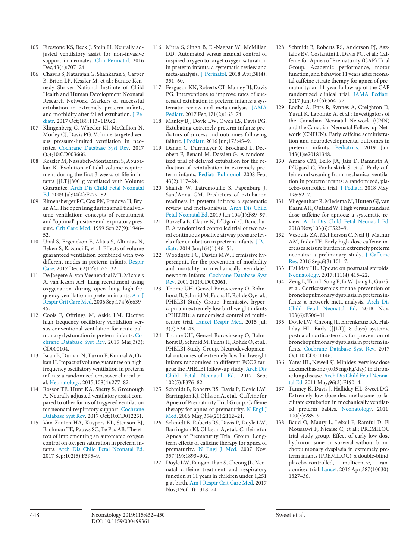- 105 Firestone KS, Beck J, Stein H. Neurally adjusted ventilatory assist for non-invasive support in neonates. Clin Perinatol. 2016 Dec; 43(4): 707-24.
- 106 Chawla S, Natarajan G, Shankaran S, Carper B, Brion LP, Keszler M, et al.; Eunice Kennedy Shriver National Institute of Child Health and Human Development Neonatal Research Network. Markers of successful extubation in extremely preterm infants, and morbidity after failed extubation. J Pediatr. 2017 Oct;189:113–119.e2.
- 107 Klingenberg C, Wheeler KI, McCallion N, Morley CJ, Davis PG. Volume-targeted versus pressure-limited ventilation in neonates. Cochrane Database Syst Rev. 2017 Oct;10:CD003666.
- 108 Keszler M, Nassabeh-Montazami S, Abubakar K. Evolution of tidal volume requirement during the first 3 weeks of life in infants [{LT}]800 g ventilated with Volume Guarantee. Arch Dis Child Fetal Neonatal Ed. 2009 Jul;94(4):F279–82.
- 109 Rimensberger PC, Cox PN, Frndova H, Bryan AC. The open lung during small tidal volume ventilation: concepts of recruitment and "optimal" positive end-expiratory pressure. Crit Care Med. 1999 Sep;27(9):1946– 52.
- 110 Unal S, Ergenekon E, Aktas S, Altuntas N, Beken S, Kazanci E, et al. Effects of volume guaranteed ventilation combined with two different modes in preterm infants. Respir Care. 2017 Dec;62(12):1525–32.
- 111 De Jaegere A, van Veenendaal MB, Michiels A, van Kaam AH. Lung recruitment using oxygenation during open lung high-frequency ventilation in preterm infants. Am J Respir Crit Care Med. 2006 Sep;174(6):639– 45.
- 112 Cools F, Offringa M, Askie LM. Elective high frequency oscillatory ventilation versus conventional ventilation for acute pulmonary dysfunction in preterm infants. Cochrane Database Syst Rev. 2015 Mar;3(3): CD000104.
- 113 Iscan B, Duman N, Tuzun F, Kumral A, Ozkan H. Impact of volume guarantee on highfrequency oscillatory ventilation in preterm infants: a randomized crossover clinical trial. Neonatology. 2015;108(4):277–82.
- 114 Rossor TE, Hunt KA, Shetty S, Greenough A. Neurally adjusted ventilatory assist compared to other forms of triggered ventilation for neonatal respiratory support. Cochrane Database Syst Rev. 2017 Oct;10:CD012251.
- 115 Van Zanten HA, Kuypers KL, Stenson BJ, Bachman TE, Pauws SC, Te Pas AB. The effect of implementing an automated oxygen control on oxygen saturation in preterm infants. Arch Dis Child Fetal Neonatal Ed. 2017 Sep;102(5):F395–9.
- 116 Mitra S, Singh B, El-Naggar W, McMillan DD. Automated versus manual control of inspired oxygen to target oxygen saturation in preterm infants: a systematic review and meta-analysis. J Perinatol. 2018 Apr;38(4): 351–60.
- 117 Ferguson KN, Roberts CT, Manley BJ, Davis PG. Interventions to improve rates of successful extubation in preterm infants: a systematic review and meta-analysis. JAMA Pediatr. 2017 Feb;171(2):165–74.
- 118 Manley BJ, Doyle LW, Owen LS, Davis PG. Extubating extremely preterm infants: predictors of success and outcomes following failure. J Pediatr. 2016 Jun;173:45–9.
- 119 Danan C, Durrmeyer X, Brochard L, Decobert F, Benani M, Dassieu G. A randomized trial of delayed extubation for the reduction of reintubation in extremely preterm infants. Pediatr Pulmonol. 2008 Feb; 43(2):117–24.
- 120 Shalish W, Latremouille S, Papenburg J, Sant'Anna GM. Predictors of extubation readiness in preterm infants: a systematic review and meta-analysis. Arch Dis Child Fetal Neonatal Ed. 2019 Jan;104(1):F89–97.
- Buzzella B, Claure N, D'Ugard C, Bancalari E. A randomized controlled trial of two nasal continuous positive airway pressure levels after extubation in preterm infants. J Pediatr. 2014 Jan; 164(1): 46-51.
- 122 Woodgate PG, Davies MW. Permissive hypercapnia for the prevention of morbidity and mortality in mechanically ventilated newborn infants. Cochrane Database Syst Rev. 2001;2(2):CD002061.
- 123 Thome UH, Genzel-Boroviczeny O, Bohnhorst B, Schmid M, Fuchs H, Rohde O, et al.; PHELBI Study Group. Permissive hypercapnia in extremely low birthweight infants (PHELBI): a randomised controlled multicentre trial. Lancet Respir Med. 2015 Jul; 3(7):534–43.
- 124 Thome UH, Genzel-Boroviczeny O, Bohnhorst B, Schmid M, Fuchs H, Rohde O, et al.; PHELBI Study Group. Neurodevelopmental outcomes of extremely low birthweight infants randomised to different PCO2 targets: the PHELBI follow-up study. Arch Dis Child Fetal Neonatal Ed. 2017 Sep; 102(5):F376–82.
- 125 Schmidt B, Roberts RS, Davis P, Doyle LW, Barrington KJ, Ohlsson A, et al.; Caffeine for Apnea of Prematurity Trial Group. Caffeine therapy for apnea of prematurity. N Engl J Med. 2006 May;354(20):2112–21.
- 126 Schmidt B, Roberts RS, Davis P, Doyle LW, Barrington KJ, Ohlsson A, et al.; Caffeine for Apnea of Prematurity Trial Group. Longterm effects of caffeine therapy for apnea of prematurity. N Engl J Med. 2007 Nov; 357(19):1893–902.
- 127 Doyle LW, Ranganathan S, Cheong JL. Neonatal caffeine treatment and respiratory function at 11 years in children under 1,251 g at birth. Am J Respir Crit Care Med. 2017 Nov;196(10):1318–24.
- 128 Schmidt B, Roberts RS, Anderson PJ, Asztalos EV, Costantini L, Davis PG, et al.; Caffeine for Apnea of Prematurity (CAP) Trial Group. Academic performance, motor function, and behavior 11 years after neonatal caffeine citrate therapy for apnea of prematurity: an 11-year follow-up of the CAP randomized clinical trial. JAMA Pediatr. 2017 Jun;171(6):564–72.
- 129 Lodha A, Entz R, Synnes A, Creighton D, Yusuf K, Lapointe A, et al.; Investigators of the Canadian Neonatal Network (CNN) and the Canadian Neonatal Follow-up Network (CNFUN). Early caffeine administration and neurodevelopmental outcomes in preterm infants. Pediatrics. 2019 Jan; 143(1):e20181348.
- 130 Amaro CM, Bello JA, Jain D, Ramnath A, D'Ugard C, Vanbuskirk S, et al. Early caffeine and weaning from mechanical ventilation in preterm infants: a randomized, placebo-controlled trial. J Pediatr. 2018 May; 196:52–7.
- 131 Vliegenthart R, Miedema M, Hutten GJ, van Kaam AH, Onland W. High versus standard dose caffeine for apnoea: a systematic review. Arch Dis Child Fetal Neonatal Ed. 2018 Nov;103(6):F523–9.
- 132 Vesoulis ZA, McPherson C, Neil JJ, Mathur AM, Inder TE. Early high-dose caffeine increases seizure burden in extremely preterm neonates: a preliminary study. J Caffeine Res. 2016 Sep;6(3):101–7.
- 133 Halliday HL. Update on postnatal steroids. Neonatology. 2017;111(4):415–22.
- 134 Zeng L, Tian J, Song F, Li W, Jiang L, Gui G, et al. Corticosteroids for the prevention of bronchopulmonary dysplasia in preterm infants: a network meta-analysis. Arch Dis Child Fetal Neonatal Ed. 2018 Nov; 103(6):F506–11.
- 135 Doyle LW, Cheong JL, Ehrenkranz RA, Halliday HL. Early ([{LT}] 8 days) systemic postnatal corticosteroids for prevention of bronchopulmonary dysplasia in preterm infants. Cochrane Database Syst Rev. 2017 Oct;10:CD001146.
- 136 Yates HL, Newell SJ. Minidex: very low dose dexamethasone (0.05 mg/kg/day) in chronic lung disease. Arch Dis Child Fetal Neonatal Ed. 2011 May;96(3):F190–4.
- 137 Tanney K, Davis J, Halliday HL, Sweet DG. Extremely low-dose dexamethasone to facilitate extubation in mechanically ventilated preterm babies. Neonatology. 2011;  $100(3):285-9.$
- 138 Baud O, Maury L, Lebail F, Ramful D, El Moussawi F, Nicaise C, et al.; PREMILOC trial study group. Effect of early low-dose hydrocortisone on survival without bronchopulmonary dysplasia in extremely preterm infants (PREMILOC): a double-blind, placebo-controlled, multicentre, randomised trial. Lancet. 2016 Apr;387(10030): 1827–36.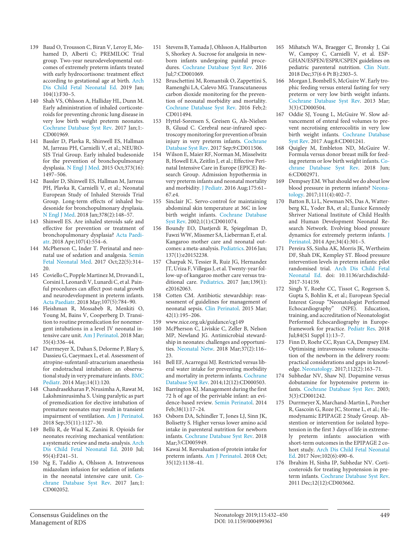- 139 Baud O, Trousson C, Biran V, Leroy E, Mohamed D, Alberti C; PREMILOC Trial group. Two-year neurodevelopmental outcomes of extremely preterm infants treated with early hydrocortisone: treatment effect according to gestational age at birth. Arch Dis Child Fetal Neonatal Ed. 2019 Jan;  $104(1):F30-5.$
- 140 Shah VS, Ohlsson A, Halliday HL, Dunn M. Early administration of inhaled corticosteroids for preventing chronic lung disease in very low birth weight preterm neonates. Cochrane Database Syst Rev. 2017 Jan;1:- CD001969.
- 141 Bassler D, Plavka R, Shinwell ES, Hallman M, Jarreau PH, Carnielli V, et al.; NEURO-SIS Trial Group. Early inhaled budesonide for the prevention of bronchopulmonary dysplasia. N Engl J Med. 2015 Oct;373(16): 1497–506.
- 142 Bassler D, Shinwell ES, Hallman M, Jarreau PH, Plavka R, Carnielli V, et al.; Neonatal European Study of Inhaled Steroids Trial Group. Long-term effects of inhaled budesonide for bronchopulmonary dysplasia. N Engl J Med. 2018 Jan;378(2):148–57.
- 143 Shinwell ES. Are inhaled steroids safe and effective for prevention or treatment of bronchopulmonary dysplasia? Acta Paediatr. 2018 Apr;107(4):554–6.
- 144 McPherson C, Inder T. Perinatal and neonatal use of sedation and analgesia. Semin Fetal Neonatal Med. 2017 Oct;22(5):314– 20.
- 145 Coviello C, Popple Martinez M, Drovandi L, Corsini I, Leonardi V, Lunardi C, et al. Painful procedures can affect post-natal growth and neurodevelopment in preterm infants. Acta Paediatr. 2018 May;107(5):784–90.
- 146 Fleishman R, Mossabeb R, Menkiti O, Young M, Bains V, Cooperberg D. Transition to routine premedication for nonemergent intubations in a level IV neonatal intensive care unit. Am J Perinatol. 2018 Mar; 35(4):336–44.
- 147 Durrmeyer X, Dahan S, Delorme P, Blary S, Dassieu G, Caeymaex L, et al. Assessment of atropine-sufentanil-atracurium anaesthesia for endotracheal intubation: an observational study in very premature infants. BMC Pediatr. 2014 May;14(1):120.
- 148 Chandrasekharan P, Nrusimha A, Rawat M, Lakshminrusimha S. Using paralytic as part of premedication for elective intubation of premature neonates may result in transient impairment of ventilation. Am J Perinatol. 2018 Sep;35(11):1127–30.
- 149 Bellù R, de Waal K, Zanini R. Opioids for neonates receiving mechanical ventilation: a systematic review and meta-analysis. Arch Dis Child Fetal Neonatal Ed. 2010 Jul; 95(4):F241–51.
- 150 Ng E, Taddio A, Ohlsson A. Intravenous midazolam infusion for sedation of infants in the neonatal intensive care unit. Cochrane Database Syst Rev. 2017 Jan;1: CD002052.
- 151 Stevens B, Yamada J, Ohlsson A, Haliburton S, Shorkey A. Sucrose for analgesia in newborn infants undergoing painful procedures. Cochrane Database Syst Rev. 2016 Jul;7:CD001069.
- 152 Bruschettini M, Romantsik O, Zappettini S, Ramenghi LA, Calevo MG. Transcutaneous carbon dioxide monitoring for the prevention of neonatal morbidity and mortality. Cochrane Database Syst Rev. 2016 Feb;2: CD011494.
- 153 Hyttel-Sorensen S, Greisen G, Als-Nielsen B, Gluud C. Cerebral near-infrared spectroscopy monitoring for prevention of brain injury in very preterm infants. Cochrane Database Syst Rev. 2017 Sep;9:CD011506.
- 154 Wilson E, Maier RF, Norman M, Misselwitz B, Howell EA, Zeitlin J, et al.; Effective Perinatal Intensive Care in Europe (EPICE) Research Group. Admission hypothermia in very preterm infants and neonatal mortality and morbidity. J Pediatr. 2016 Aug;175:61– 67.e4.
- 155 Sinclair JC. Servo-control for maintaining abdominal skin temperature at 36C in low birth weight infants. Cochrane Database Syst Rev. 2002;1(1):CD001074.
- 156 Boundy EO, Dastjerdi R, Spiegelman D, Fawzi WW, Missmer SA, Lieberman E, et al. Kangaroo mother care and neonatal outcomes: a meta-analysis. Pediatrics. 2016 Jan; 137(1):e20152238.
- 157 Charpak N, Tessier R, Ruiz JG, Hernandez JT, Uriza F, Villegas J, et al. Twenty-year follow-up of kangaroo mother care versus traditional care. Pediatrics. 2017 Jan;139(1): e20162063.
- 158 Cotten CM. Antibiotic stewardship: reassessment of guidelines for management of neonatal sepsis. Clin Perinatol. 2015 Mar; 42(1):195–206.
- 159 www.nice.org.uk/guidance/cg149<br>160 McPherson C. Liviskie C. Zeller
- McPherson C, Liviskie C, Zeller B, Nelson MP, Newland JG. Antimicrobial stewardship in neonates: challenges and opportunities. Neonatal Netw. 2018 Mar;37(2):116– 23.
- 161 Bell EF, Acarregui MJ. Restricted versus liberal water intake for preventing morbidity and mortality in preterm infants. Cochrane Database Syst Rev. 2014;12(12):CD000503.
- 162 Barrington KJ. Management during the first 72 h of age of the periviable infant: an evidence-based review. Semin Perinatol. 2014 Feb;38(1):17–24.
- 163 Osborn DA, Schindler T, Jones LJ, Sinn JK, Bolisetty S. Higher versus lower amino acid intake in parenteral nutrition for newborn infants. Cochrane Database Syst Rev. 2018 Mar;3:CD005949.
- 164 Kawai M. Reevaluation of protein intake for preterm infants. Am J Perinatol. 2018 Oct; 35(12):1138–41.
- 165 Mihatsch WA, Braegger C, Bronsky J, Cai W, Campoy C, Carnielli V, et al. ESP-GHAN/ESPEN/ESPR/CSPEN guidelines on pediatric parenteral nutrition. Clin Nutr. 2018 Dec;37(6 6 Pt B):2303–5.
- 166 Morgan J, Bombell S, McGuire W. Early trophic feeding versus enteral fasting for very preterm or very low birth weight infants. Cochrane Database Syst Rev. 2013 Mar; 3(3):CD000504.
- 167 Oddie SJ, Young L, McGuire W. Slow advancement of enteral feed volumes to prevent necrotising enterocolitis in very low birth weight infants. Cochrane Database Syst Rev. 2017 Aug;8:CD001241.
- 168 Quigley M, Embleton ND, McGuire W. Formula versus donor breast milk for feeding preterm or low birth weight infants. Cochrane Database Syst Rev. 2018 Jun; 6:CD002971.
- 169 Dempsey EM. What should we do about low blood pressure in preterm infants? Neonatology. 2017;111(4):402–7.
- 170 Batton B, Li L, Newman NS, Das A, Watterberg KL, Yoder BA, et al.; Eunice Kennedy Shriver National Institute of Child Health and Human Development Neonatal Research Network. Evolving blood pressure dynamics for extremely preterm infants. J Perinatol. 2014 Apr;34(4):301–5.
- 171 Pereira SS, Sinha AK, Morris JK, Wertheim DF, Shah DK, Kempley ST. Blood pressure intervention levels in preterm infants: pilot randomised trial. Arch Dis Child Fetal Neonatal Ed. doi: 10.1136/archdischild-2017-314159.
- 172 Singh Y, Roehr CC, Tissot C, Rogerson S, Gupta S, Bohlin K, et al.; European Special Interest Group "Neonatologist Performed Echocardiography" (NPE). Education, training, and accreditation of Neonatologist Performed Echocardiography in Europeframework for practice. Pediatr Res. 2018 Jul;84(S1 Suppl 1):13–7.
- 173 Finn D, Roehr CC, Ryan CA, Dempsey EM. Optimising intravenous volume resuscitation of the newborn in the delivery room: practical considerations and gaps in knowledge. Neonatology. 2017;112(2):163–71.
- Subhedar NV, Shaw NJ. Dopamine versus dobutamine for hypotensive preterm infants. Cochrane Database Syst Rev. 2003; 3(3):CD001242.
- 175 Durrmeyer X, Marchand-Martin L, Porcher R, Gascoin G, Roze JC, Storme L, et al.; Hemodynamic EPIPAGE 2 Study Group. Abstention or intervention for isolated hypotension in the first 3 days of life in extremely preterm infants: association with short-term outcomes in the EPIPAGE 2 cohort study. Arch Dis Child Fetal Neonatal Ed. 2017 Nov;102(6):490–6.
- 176 Ibrahim H, Sinha IP, Subhedar NV. Corticosteroids for treating hypotension in preterm infants. Cochrane Database Syst Rev. 2011 Dec;12(12):CD003662.